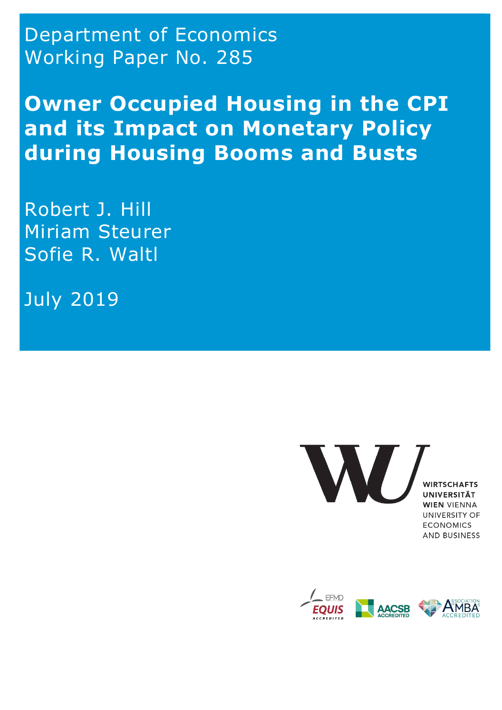Department of Economics Working Paper No. 285

**Owner Occupied Housing in the CPI and its Impact on Monetary Policy during Housing Booms and Busts** 

Robert J. Hill Miriam Steurer Sofie R. Waltl

July 2019

W/

**WIRTSCHAFTS** UNIVERSITÄT **WIEN VIENNA** UNIVERSITY OF **ECONOMICS AND BUSINESS** 

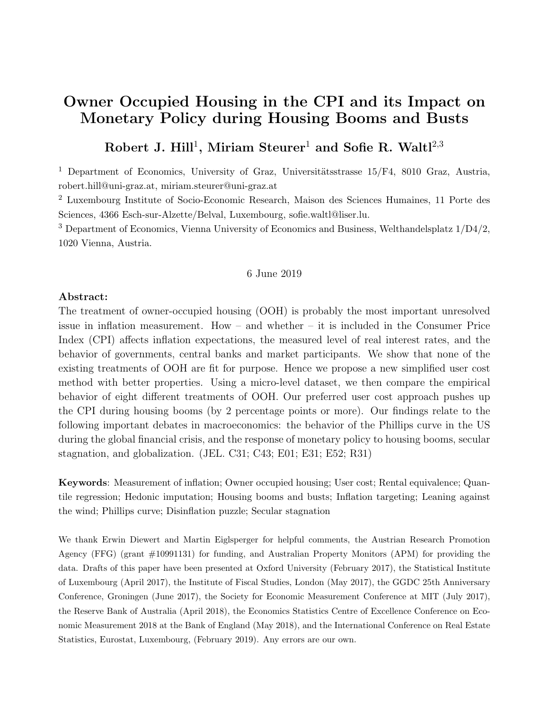# **Owner Occupied Housing in the CPI and its Impact on Monetary Policy during Housing Booms and Busts**

# **Robert J. Hill**<sup>1</sup>**, Miriam Steurer**<sup>1</sup> **and Sofie R. Waltl**<sup>2</sup>*,*<sup>3</sup>

<sup>1</sup> Department of Economics, University of Graz, Universitätsstrasse  $15/F4$ , 8010 Graz, Austria, robert.hill@uni-graz.at, miriam.steurer@uni-graz.at

<sup>2</sup> Luxembourg Institute of Socio-Economic Research, Maison des Sciences Humaines, 11 Porte des Sciences, 4366 Esch-sur-Alzette/Belval, Luxembourg, sofie.waltl@liser.lu.

<sup>3</sup> Department of Economics, Vienna University of Economics and Business, Welthandelsplatz  $1/D4/2$ , 1020 Vienna, Austria.

### 6 June 2019

#### **Abstract:**

The treatment of owner-occupied housing (OOH) is probably the most important unresolved issue in inflation measurement. How – and whether – it is included in the Consumer Price Index (CPI) affects inflation expectations, the measured level of real interest rates, and the behavior of governments, central banks and market participants. We show that none of the existing treatments of OOH are fit for purpose. Hence we propose a new simplified user cost method with better properties. Using a micro-level dataset, we then compare the empirical behavior of eight different treatments of OOH. Our preferred user cost approach pushes up the CPI during housing booms (by 2 percentage points or more). Our findings relate to the following important debates in macroeconomics: the behavior of the Phillips curve in the US during the global financial crisis, and the response of monetary policy to housing booms, secular stagnation, and globalization. (JEL. C31; C43; E01; E31; E52; R31)

**Keywords**: Measurement of inflation; Owner occupied housing; User cost; Rental equivalence; Quantile regression; Hedonic imputation; Housing booms and busts; Inflation targeting; Leaning against the wind; Phillips curve; Disinflation puzzle; Secular stagnation

We thank Erwin Diewert and Martin Eiglsperger for helpful comments, the Austrian Research Promotion Agency (FFG) (grant #10991131) for funding, and Australian Property Monitors (APM) for providing the data. Drafts of this paper have been presented at Oxford University (February 2017), the Statistical Institute of Luxembourg (April 2017), the Institute of Fiscal Studies, London (May 2017), the GGDC 25th Anniversary Conference, Groningen (June 2017), the Society for Economic Measurement Conference at MIT (July 2017), the Reserve Bank of Australia (April 2018), the Economics Statistics Centre of Excellence Conference on Economic Measurement 2018 at the Bank of England (May 2018), and the International Conference on Real Estate Statistics, Eurostat, Luxembourg, (February 2019). Any errors are our own.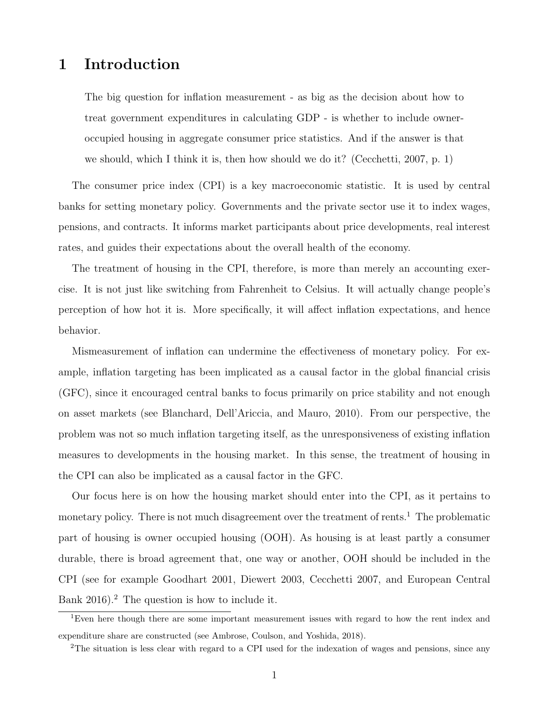# **1 Introduction**

The big question for inflation measurement - as big as the decision about how to treat government expenditures in calculating GDP - is whether to include owneroccupied housing in aggregate consumer price statistics. And if the answer is that we should, which I think it is, then how should we do it? (Cecchetti, 2007, p. 1)

The consumer price index (CPI) is a key macroeconomic statistic. It is used by central banks for setting monetary policy. Governments and the private sector use it to index wages, pensions, and contracts. It informs market participants about price developments, real interest rates, and guides their expectations about the overall health of the economy.

The treatment of housing in the CPI, therefore, is more than merely an accounting exercise. It is not just like switching from Fahrenheit to Celsius. It will actually change people's perception of how hot it is. More specifically, it will affect inflation expectations, and hence behavior.

Mismeasurement of inflation can undermine the effectiveness of monetary policy. For example, inflation targeting has been implicated as a causal factor in the global financial crisis (GFC), since it encouraged central banks to focus primarily on price stability and not enough on asset markets (see Blanchard, Dell'Ariccia, and Mauro, 2010). From our perspective, the problem was not so much inflation targeting itself, as the unresponsiveness of existing inflation measures to developments in the housing market. In this sense, the treatment of housing in the CPI can also be implicated as a causal factor in the GFC.

Our focus here is on how the housing market should enter into the CPI, as it pertains to monetary policy. There is not much disagreement over the treatment of rents.<sup>1</sup> The problematic part of housing is owner occupied housing (OOH). As housing is at least partly a consumer durable, there is broad agreement that, one way or another, OOH should be included in the CPI (see for example Goodhart 2001, Diewert 2003, Cecchetti 2007, and European Central Bank 2016).<sup>2</sup> The question is how to include it.

<sup>&</sup>lt;sup>1</sup>Even here though there are some important measurement issues with regard to how the rent index and expenditure share are constructed (see Ambrose, Coulson, and Yoshida, 2018).

<sup>&</sup>lt;sup>2</sup>The situation is less clear with regard to a CPI used for the indexation of wages and pensions, since any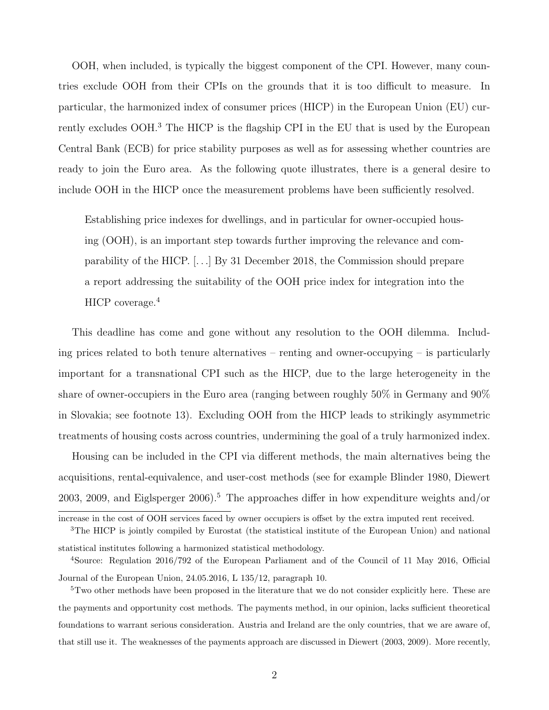OOH, when included, is typically the biggest component of the CPI. However, many countries exclude OOH from their CPIs on the grounds that it is too difficult to measure. In particular, the harmonized index of consumer prices (HICP) in the European Union (EU) currently excludes OOH.3 The HICP is the flagship CPI in the EU that is used by the European Central Bank (ECB) for price stability purposes as well as for assessing whether countries are ready to join the Euro area. As the following quote illustrates, there is a general desire to include OOH in the HICP once the measurement problems have been sufficiently resolved.

Establishing price indexes for dwellings, and in particular for owner-occupied housing (OOH), is an important step towards further improving the relevance and comparability of the HICP. [*. . .*] By 31 December 2018, the Commission should prepare a report addressing the suitability of the OOH price index for integration into the HICP coverage.<sup>4</sup>

This deadline has come and gone without any resolution to the OOH dilemma. Including prices related to both tenure alternatives – renting and owner-occupying – is particularly important for a transnational CPI such as the HICP, due to the large heterogeneity in the share of owner-occupiers in the Euro area (ranging between roughly 50% in Germany and 90% in Slovakia; see footnote 13). Excluding OOH from the HICP leads to strikingly asymmetric treatments of housing costs across countries, undermining the goal of a truly harmonized index.

Housing can be included in the CPI via different methods, the main alternatives being the acquisitions, rental-equivalence, and user-cost methods (see for example Blinder 1980, Diewert 2003, 2009, and Eiglsperger 2006).<sup>5</sup> The approaches differ in how expenditure weights and/or

increase in the cost of OOH services faced by owner occupiers is offset by the extra imputed rent received.

<sup>&</sup>lt;sup>3</sup>The HICP is jointly compiled by Eurostat (the statistical institute of the European Union) and national statistical institutes following a harmonized statistical methodology.

<sup>4</sup>Source: Regulation 2016/792 of the European Parliament and of the Council of 11 May 2016, Official Journal of the European Union, 24.05.2016, L 135/12, paragraph 10.

<sup>&</sup>lt;sup>5</sup>Two other methods have been proposed in the literature that we do not consider explicitly here. These are the payments and opportunity cost methods. The payments method, in our opinion, lacks sufficient theoretical foundations to warrant serious consideration. Austria and Ireland are the only countries, that we are aware of, that still use it. The weaknesses of the payments approach are discussed in Diewert (2003, 2009). More recently,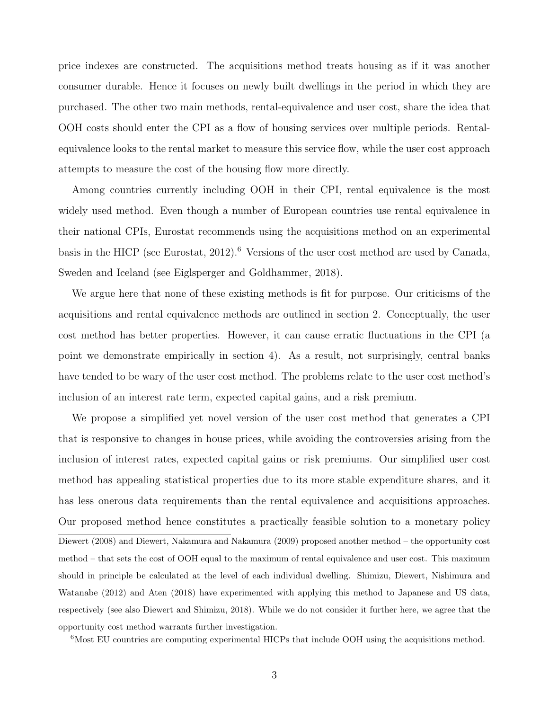price indexes are constructed. The acquisitions method treats housing as if it was another consumer durable. Hence it focuses on newly built dwellings in the period in which they are purchased. The other two main methods, rental-equivalence and user cost, share the idea that OOH costs should enter the CPI as a flow of housing services over multiple periods. Rentalequivalence looks to the rental market to measure this service flow, while the user cost approach attempts to measure the cost of the housing flow more directly.

Among countries currently including OOH in their CPI, rental equivalence is the most widely used method. Even though a number of European countries use rental equivalence in their national CPIs, Eurostat recommends using the acquisitions method on an experimental basis in the HICP (see Eurostat, 2012).<sup>6</sup> Versions of the user cost method are used by Canada, Sweden and Iceland (see Eiglsperger and Goldhammer, 2018).

We argue here that none of these existing methods is fit for purpose. Our criticisms of the acquisitions and rental equivalence methods are outlined in section 2. Conceptually, the user cost method has better properties. However, it can cause erratic fluctuations in the CPI (a point we demonstrate empirically in section 4). As a result, not surprisingly, central banks have tended to be wary of the user cost method. The problems relate to the user cost method's inclusion of an interest rate term, expected capital gains, and a risk premium.

We propose a simplified yet novel version of the user cost method that generates a CPI that is responsive to changes in house prices, while avoiding the controversies arising from the inclusion of interest rates, expected capital gains or risk premiums. Our simplified user cost method has appealing statistical properties due to its more stable expenditure shares, and it has less onerous data requirements than the rental equivalence and acquisitions approaches. Our proposed method hence constitutes a practically feasible solution to a monetary policy Diewert (2008) and Diewert, Nakamura and Nakamura (2009) proposed another method – the opportunity cost method – that sets the cost of OOH equal to the maximum of rental equivalence and user cost. This maximum should in principle be calculated at the level of each individual dwelling. Shimizu, Diewert, Nishimura and Watanabe (2012) and Aten (2018) have experimented with applying this method to Japanese and US data, respectively (see also Diewert and Shimizu, 2018). While we do not consider it further here, we agree that the opportunity cost method warrants further investigation.

<sup>6</sup>Most EU countries are computing experimental HICPs that include OOH using the acquisitions method.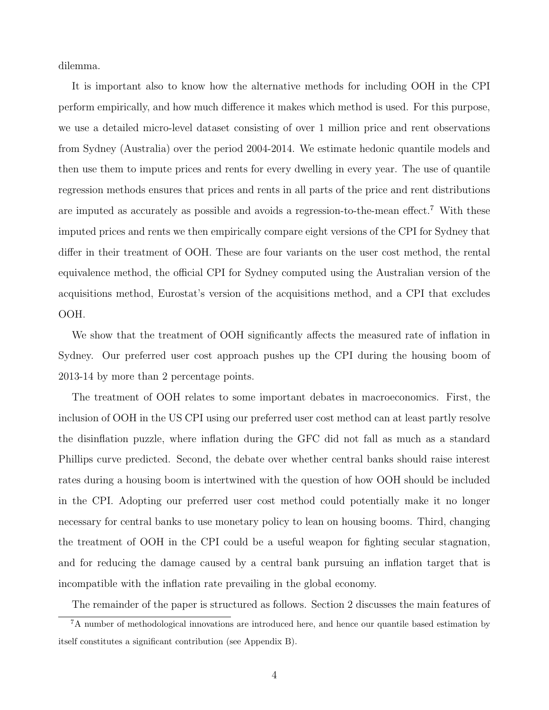dilemma.

It is important also to know how the alternative methods for including OOH in the CPI perform empirically, and how much difference it makes which method is used. For this purpose, we use a detailed micro-level dataset consisting of over 1 million price and rent observations from Sydney (Australia) over the period 2004-2014. We estimate hedonic quantile models and then use them to impute prices and rents for every dwelling in every year. The use of quantile regression methods ensures that prices and rents in all parts of the price and rent distributions are imputed as accurately as possible and avoids a regression-to-the-mean effect.7 With these imputed prices and rents we then empirically compare eight versions of the CPI for Sydney that differ in their treatment of OOH. These are four variants on the user cost method, the rental equivalence method, the official CPI for Sydney computed using the Australian version of the acquisitions method, Eurostat's version of the acquisitions method, and a CPI that excludes OOH.

We show that the treatment of OOH significantly affects the measured rate of inflation in Sydney. Our preferred user cost approach pushes up the CPI during the housing boom of 2013-14 by more than 2 percentage points.

The treatment of OOH relates to some important debates in macroeconomics. First, the inclusion of OOH in the US CPI using our preferred user cost method can at least partly resolve the disinflation puzzle, where inflation during the GFC did not fall as much as a standard Phillips curve predicted. Second, the debate over whether central banks should raise interest rates during a housing boom is intertwined with the question of how OOH should be included in the CPI. Adopting our preferred user cost method could potentially make it no longer necessary for central banks to use monetary policy to lean on housing booms. Third, changing the treatment of OOH in the CPI could be a useful weapon for fighting secular stagnation, and for reducing the damage caused by a central bank pursuing an inflation target that is incompatible with the inflation rate prevailing in the global economy.

The remainder of the paper is structured as follows. Section 2 discusses the main features of

<sup>7</sup>A number of methodological innovations are introduced here, and hence our quantile based estimation by itself constitutes a significant contribution (see Appendix B).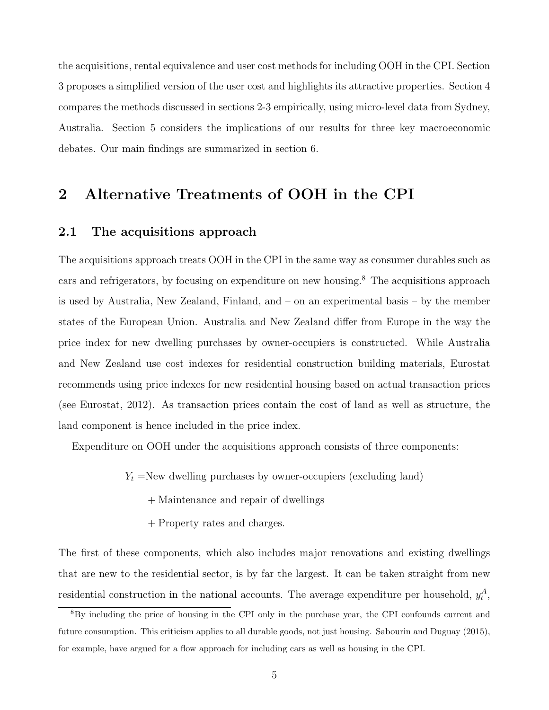the acquisitions, rental equivalence and user cost methods for including OOH in the CPI. Section 3 proposes a simplified version of the user cost and highlights its attractive properties. Section 4 compares the methods discussed in sections 2-3 empirically, using micro-level data from Sydney, Australia. Section 5 considers the implications of our results for three key macroeconomic debates. Our main findings are summarized in section 6.

# **2 Alternative Treatments of OOH in the CPI**

## **2.1 The acquisitions approach**

The acquisitions approach treats OOH in the CPI in the same way as consumer durables such as cars and refrigerators, by focusing on expenditure on new housing.8 The acquisitions approach is used by Australia, New Zealand, Finland, and – on an experimental basis – by the member states of the European Union. Australia and New Zealand differ from Europe in the way the price index for new dwelling purchases by owner-occupiers is constructed. While Australia and New Zealand use cost indexes for residential construction building materials, Eurostat recommends using price indexes for new residential housing based on actual transaction prices (see Eurostat, 2012). As transaction prices contain the cost of land as well as structure, the land component is hence included in the price index.

Expenditure on OOH under the acquisitions approach consists of three components:

 $Y_t$  =New dwelling purchases by owner-occupiers (excluding land)

- + Maintenance and repair of dwellings
- + Property rates and charges.

The first of these components, which also includes major renovations and existing dwellings that are new to the residential sector, is by far the largest. It can be taken straight from new residential construction in the national accounts. The average expenditure per household,  $y_t^A$ ,

<sup>&</sup>lt;sup>8</sup>By including the price of housing in the CPI only in the purchase year, the CPI confounds current and future consumption. This criticism applies to all durable goods, not just housing. Sabourin and Duguay (2015), for example, have argued for a flow approach for including cars as well as housing in the CPI.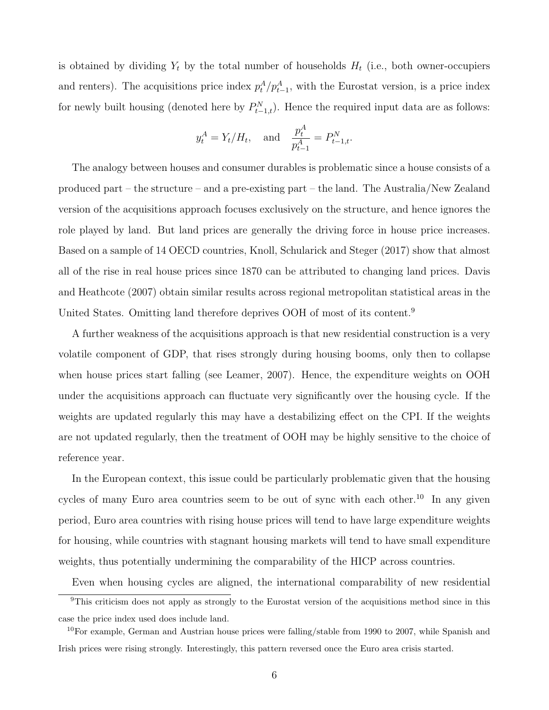is obtained by dividing  $Y_t$  by the total number of households  $H_t$  (i.e., both owner-occupiers and renters). The acquisitions price index  $p_t^A / p_{t-1}^A$ , with the Eurostat version, is a price index for newly built housing (denoted here by  $P_{t-1,t}^N$ ). Hence the required input data are as follows:

$$
y_t^A = Y_t/H_t
$$
, and  $\frac{p_t^A}{p_{t-1}^A} = P_{t-1,t}^N$ .

The analogy between houses and consumer durables is problematic since a house consists of a produced part – the structure – and a pre-existing part – the land. The Australia/New Zealand version of the acquisitions approach focuses exclusively on the structure, and hence ignores the role played by land. But land prices are generally the driving force in house price increases. Based on a sample of 14 OECD countries, Knoll, Schularick and Steger (2017) show that almost all of the rise in real house prices since 1870 can be attributed to changing land prices. Davis and Heathcote (2007) obtain similar results across regional metropolitan statistical areas in the United States. Omitting land therefore deprives OOH of most of its content.9

A further weakness of the acquisitions approach is that new residential construction is a very volatile component of GDP, that rises strongly during housing booms, only then to collapse when house prices start falling (see Leamer, 2007). Hence, the expenditure weights on OOH under the acquisitions approach can fluctuate very significantly over the housing cycle. If the weights are updated regularly this may have a destabilizing effect on the CPI. If the weights are not updated regularly, then the treatment of OOH may be highly sensitive to the choice of reference year.

In the European context, this issue could be particularly problematic given that the housing cycles of many Euro area countries seem to be out of sync with each other.<sup>10</sup> In any given period, Euro area countries with rising house prices will tend to have large expenditure weights for housing, while countries with stagnant housing markets will tend to have small expenditure weights, thus potentially undermining the comparability of the HICP across countries.

Even when housing cycles are aligned, the international comparability of new residential

<sup>&</sup>lt;sup>9</sup>This criticism does not apply as strongly to the Eurostat version of the acquisitions method since in this case the price index used does include land.

 $10$ For example, German and Austrian house prices were falling/stable from 1990 to 2007, while Spanish and Irish prices were rising strongly. Interestingly, this pattern reversed once the Euro area crisis started.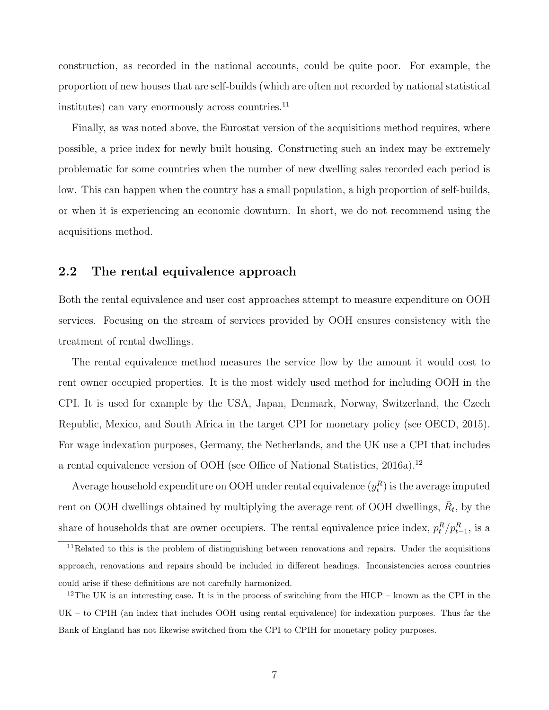construction, as recorded in the national accounts, could be quite poor. For example, the proportion of new houses that are self-builds (which are often not recorded by national statistical institutes) can vary enormously across countries. $^{11}$ 

Finally, as was noted above, the Eurostat version of the acquisitions method requires, where possible, a price index for newly built housing. Constructing such an index may be extremely problematic for some countries when the number of new dwelling sales recorded each period is low. This can happen when the country has a small population, a high proportion of self-builds, or when it is experiencing an economic downturn. In short, we do not recommend using the acquisitions method.

### **2.2 The rental equivalence approach**

Both the rental equivalence and user cost approaches attempt to measure expenditure on OOH services. Focusing on the stream of services provided by OOH ensures consistency with the treatment of rental dwellings.

The rental equivalence method measures the service flow by the amount it would cost to rent owner occupied properties. It is the most widely used method for including OOH in the CPI. It is used for example by the USA, Japan, Denmark, Norway, Switzerland, the Czech Republic, Mexico, and South Africa in the target CPI for monetary policy (see OECD, 2015). For wage indexation purposes, Germany, the Netherlands, and the UK use a CPI that includes a rental equivalence version of OOH (see Office of National Statistics, 2016a).12

Average household expenditure on OOH under rental equivalence  $(y_t^R)$  is the average imputed rent on OOH dwellings obtained by multiplying the average rent of OOH dwellings,  $\bar{R}_t$ , by the share of households that are owner occupiers. The rental equivalence price index,  $p_t^R/p_{t-1}^R$ , is a

 $11$ Related to this is the problem of distinguishing between renovations and repairs. Under the acquisitions approach, renovations and repairs should be included in different headings. Inconsistencies across countries could arise if these definitions are not carefully harmonized.

<sup>&</sup>lt;sup>12</sup>The UK is an interesting case. It is in the process of switching from the HICP – known as the CPI in the UK – to CPIH (an index that includes OOH using rental equivalence) for indexation purposes. Thus far the Bank of England has not likewise switched from the CPI to CPIH for monetary policy purposes.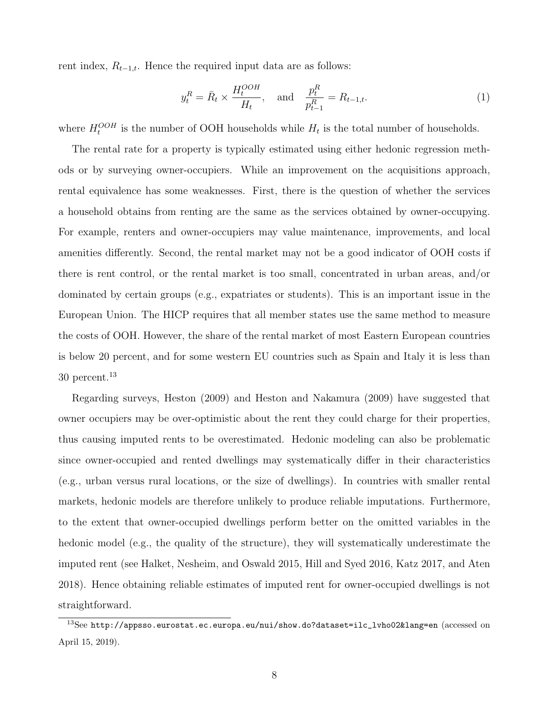rent index,  $R_{t-1,t}$ . Hence the required input data are as follows:

$$
y_t^R = \bar{R}_t \times \frac{H_t^{OOH}}{H_t}, \quad \text{and} \quad \frac{p_t^R}{p_{t-1}^R} = R_{t-1,t}.
$$
 (1)

where  $H_t^{OOH}$  is the number of OOH households while  $H_t$  is the total number of households.

The rental rate for a property is typically estimated using either hedonic regression methods or by surveying owner-occupiers. While an improvement on the acquisitions approach, rental equivalence has some weaknesses. First, there is the question of whether the services a household obtains from renting are the same as the services obtained by owner-occupying. For example, renters and owner-occupiers may value maintenance, improvements, and local amenities differently. Second, the rental market may not be a good indicator of OOH costs if there is rent control, or the rental market is too small, concentrated in urban areas, and/or dominated by certain groups (e.g., expatriates or students). This is an important issue in the European Union. The HICP requires that all member states use the same method to measure the costs of OOH. However, the share of the rental market of most Eastern European countries is below 20 percent, and for some western EU countries such as Spain and Italy it is less than  $30$  percent.<sup>13</sup>

Regarding surveys, Heston (2009) and Heston and Nakamura (2009) have suggested that owner occupiers may be over-optimistic about the rent they could charge for their properties, thus causing imputed rents to be overestimated. Hedonic modeling can also be problematic since owner-occupied and rented dwellings may systematically differ in their characteristics (e.g., urban versus rural locations, or the size of dwellings). In countries with smaller rental markets, hedonic models are therefore unlikely to produce reliable imputations. Furthermore, to the extent that owner-occupied dwellings perform better on the omitted variables in the hedonic model (e.g., the quality of the structure), they will systematically underestimate the imputed rent (see Halket, Nesheim, and Oswald 2015, Hill and Syed 2016, Katz 2017, and Aten 2018). Hence obtaining reliable estimates of imputed rent for owner-occupied dwellings is not straightforward.

 $^{13}$ See [http://appsso.eurostat.ec.europa.eu/nui/show.do?dataset=ilc\\_lvho02&lang=en](http://appsso.eurostat.ec.europa.eu/nui/show.do?dataset=ilc_lvho02&lang=en) (accessed on April 15, 2019).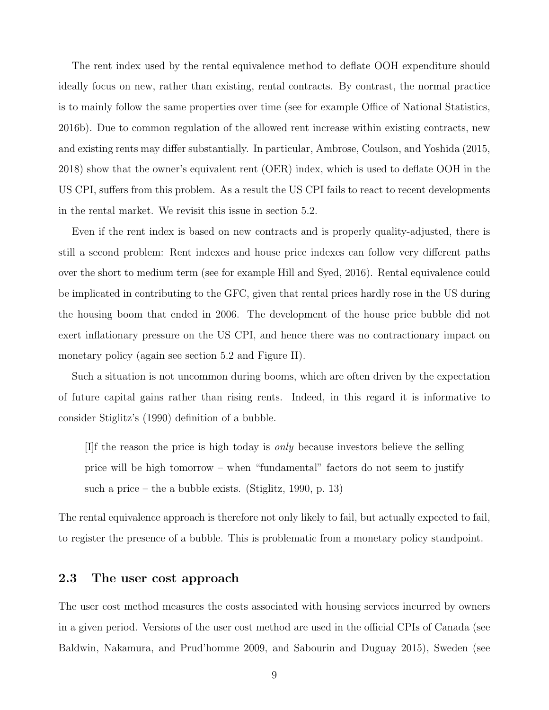The rent index used by the rental equivalence method to deflate OOH expenditure should ideally focus on new, rather than existing, rental contracts. By contrast, the normal practice is to mainly follow the same properties over time (see for example Office of National Statistics, 2016b). Due to common regulation of the allowed rent increase within existing contracts, new and existing rents may differ substantially. In particular, Ambrose, Coulson, and Yoshida (2015, 2018) show that the owner's equivalent rent (OER) index, which is used to deflate OOH in the US CPI, suffers from this problem. As a result the US CPI fails to react to recent developments in the rental market. We revisit this issue in section 5.2.

Even if the rent index is based on new contracts and is properly quality-adjusted, there is still a second problem: Rent indexes and house price indexes can follow very different paths over the short to medium term (see for example Hill and Syed, 2016). Rental equivalence could be implicated in contributing to the GFC, given that rental prices hardly rose in the US during the housing boom that ended in 2006. The development of the house price bubble did not exert inflationary pressure on the US CPI, and hence there was no contractionary impact on monetary policy (again see section 5.2 and Figure II).

Such a situation is not uncommon during booms, which are often driven by the expectation of future capital gains rather than rising rents. Indeed, in this regard it is informative to consider Stiglitz's (1990) definition of a bubble.

[I]f the reason the price is high today is *only* because investors believe the selling price will be high tomorrow – when "fundamental" factors do not seem to justify such a price – the a bubble exists. (Stiglitz, 1990, p. 13)

The rental equivalence approach is therefore not only likely to fail, but actually expected to fail, to register the presence of a bubble. This is problematic from a monetary policy standpoint.

### **2.3 The user cost approach**

The user cost method measures the costs associated with housing services incurred by owners in a given period. Versions of the user cost method are used in the official CPIs of Canada (see Baldwin, Nakamura, and Prud'homme 2009, and Sabourin and Duguay 2015), Sweden (see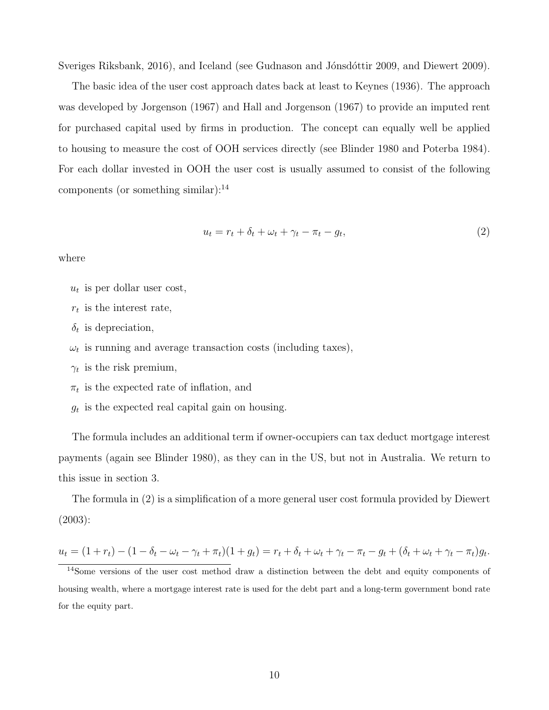Sveriges Riksbank, 2016), and Iceland (see Gudnason and Jónsdóttir 2009, and Diewert 2009).

The basic idea of the user cost approach dates back at least to Keynes (1936). The approach was developed by Jorgenson (1967) and Hall and Jorgenson (1967) to provide an imputed rent for purchased capital used by firms in production. The concept can equally well be applied to housing to measure the cost of OOH services directly (see Blinder 1980 and Poterba 1984). For each dollar invested in OOH the user cost is usually assumed to consist of the following components (or something similar): $^{14}$ 

$$
u_t = r_t + \delta_t + \omega_t + \gamma_t - \pi_t - g_t,\tag{2}
$$

where

- $u_t$  is per dollar user cost,
- *r<sup>t</sup>* is the interest rate,
- $\delta_t$  is depreciation,
- $\omega_t$  is running and average transaction costs (including taxes),
- $\gamma_t$  is the risk premium,
- $\pi_t$  is the expected rate of inflation, and
- *g<sup>t</sup>* is the expected real capital gain on housing.

The formula includes an additional term if owner-occupiers can tax deduct mortgage interest payments (again see Blinder 1980), as they can in the US, but not in Australia. We return to this issue in section 3.

The formula in (2) is a simplification of a more general user cost formula provided by Diewert (2003):

$$
u_t = (1 + r_t) - (1 - \delta_t - \omega_t - \gamma_t + \pi_t)(1 + g_t) = r_t + \delta_t + \omega_t + \gamma_t - \pi_t - g_t + (\delta_t + \omega_t + \gamma_t - \pi_t)g_t.
$$

<sup>14</sup>Some versions of the user cost method draw a distinction between the debt and equity components of housing wealth, where a mortgage interest rate is used for the debt part and a long-term government bond rate for the equity part.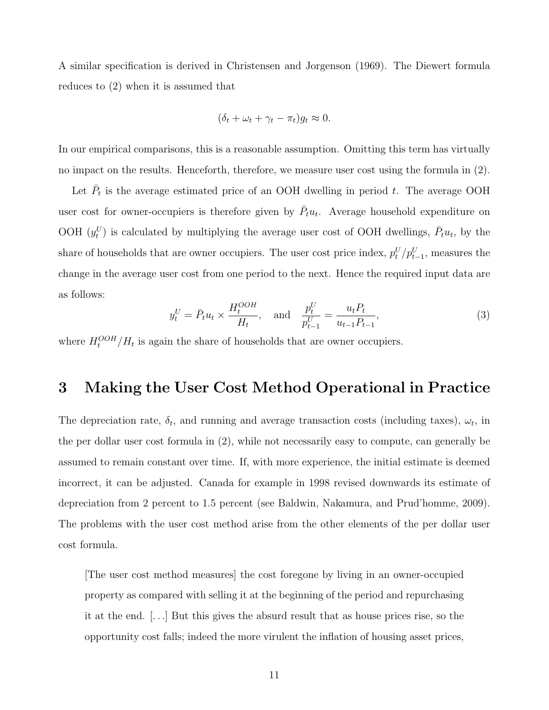A similar specification is derived in Christensen and Jorgenson (1969). The Diewert formula reduces to (2) when it is assumed that

$$
(\delta_t + \omega_t + \gamma_t - \pi_t)g_t \approx 0.
$$

In our empirical comparisons, this is a reasonable assumption. Omitting this term has virtually no impact on the results. Henceforth, therefore, we measure user cost using the formula in (2).

Let  $\bar{P}_t$  is the average estimated price of an OOH dwelling in period *t*. The average OOH user cost for owner-occupiers is therefore given by  $\bar{P}_t u_t$ . Average household expenditure on OOH  $(y_t^U)$  is calculated by multiplying the average user cost of OOH dwellings,  $\bar{P}_t u_t$ , by the share of households that are owner occupiers. The user cost price index,  $p_t^U/p_{t-1}^U$ , measures the change in the average user cost from one period to the next. Hence the required input data are as follows:

$$
y_t^U = \bar{P}_t u_t \times \frac{H_t^{OOH}}{H_t}, \quad \text{and} \quad \frac{p_t^U}{p_{t-1}^U} = \frac{u_t P_t}{u_{t-1} P_{t-1}},\tag{3}
$$

where  $H_t^{OOH}/H_t$  is again the share of households that are owner occupiers.

# **3 Making the User Cost Method Operational in Practice**

The depreciation rate,  $\delta_t$ , and running and average transaction costs (including taxes),  $\omega_t$ , in the per dollar user cost formula in (2), while not necessarily easy to compute, can generally be assumed to remain constant over time. If, with more experience, the initial estimate is deemed incorrect, it can be adjusted. Canada for example in 1998 revised downwards its estimate of depreciation from 2 percent to 1.5 percent (see Baldwin, Nakamura, and Prud'homme, 2009). The problems with the user cost method arise from the other elements of the per dollar user cost formula.

[The user cost method measures] the cost foregone by living in an owner-occupied property as compared with selling it at the beginning of the period and repurchasing it at the end. [*. . .*] But this gives the absurd result that as house prices rise, so the opportunity cost falls; indeed the more virulent the inflation of housing asset prices,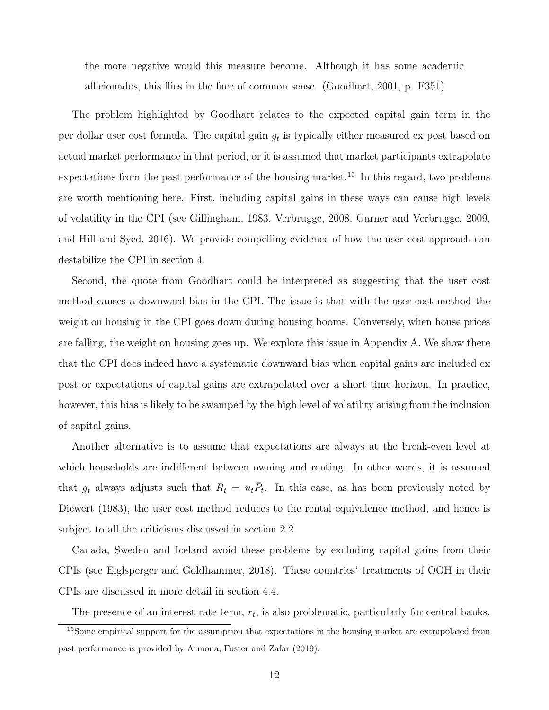the more negative would this measure become. Although it has some academic afficionados, this flies in the face of common sense. (Goodhart, 2001, p. F351)

The problem highlighted by Goodhart relates to the expected capital gain term in the per dollar user cost formula. The capital gain *g<sup>t</sup>* is typically either measured ex post based on actual market performance in that period, or it is assumed that market participants extrapolate expectations from the past performance of the housing market.<sup>15</sup> In this regard, two problems are worth mentioning here. First, including capital gains in these ways can cause high levels of volatility in the CPI (see Gillingham, 1983, Verbrugge, 2008, Garner and Verbrugge, 2009, and Hill and Syed, 2016). We provide compelling evidence of how the user cost approach can destabilize the CPI in section 4.

Second, the quote from Goodhart could be interpreted as suggesting that the user cost method causes a downward bias in the CPI. The issue is that with the user cost method the weight on housing in the CPI goes down during housing booms. Conversely, when house prices are falling, the weight on housing goes up. We explore this issue in Appendix A. We show there that the CPI does indeed have a systematic downward bias when capital gains are included ex post or expectations of capital gains are extrapolated over a short time horizon. In practice, however, this bias is likely to be swamped by the high level of volatility arising from the inclusion of capital gains.

Another alternative is to assume that expectations are always at the break-even level at which households are indifferent between owning and renting. In other words, it is assumed that  $g_t$  always adjusts such that  $R_t = u_t \overline{P}_t$ . In this case, as has been previously noted by Diewert (1983), the user cost method reduces to the rental equivalence method, and hence is subject to all the criticisms discussed in section 2.2.

Canada, Sweden and Iceland avoid these problems by excluding capital gains from their CPIs (see Eiglsperger and Goldhammer, 2018). These countries' treatments of OOH in their CPIs are discussed in more detail in section 4.4.

The presence of an interest rate term, *rt*, is also problematic, particularly for central banks.

<sup>&</sup>lt;sup>15</sup>Some empirical support for the assumption that expectations in the housing market are extrapolated from past performance is provided by Armona, Fuster and Zafar (2019).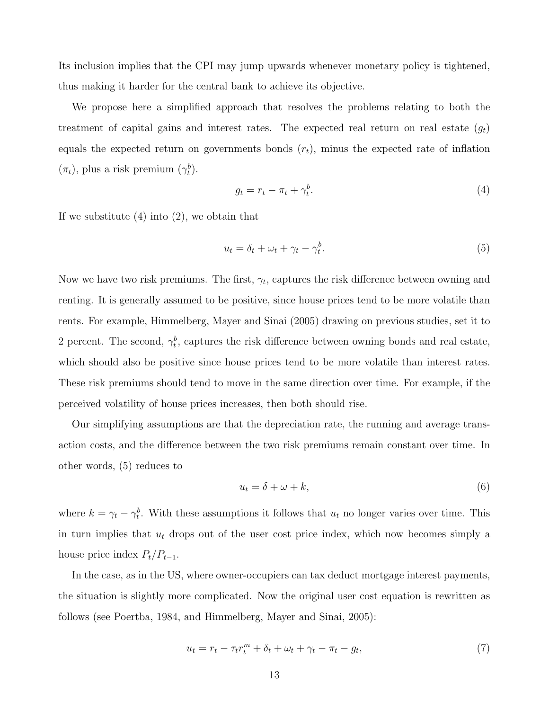Its inclusion implies that the CPI may jump upwards whenever monetary policy is tightened, thus making it harder for the central bank to achieve its objective.

We propose here a simplified approach that resolves the problems relating to both the treatment of capital gains and interest rates. The expected real return on real estate  $(q_t)$ equals the expected return on governments bonds  $(r_t)$ , minus the expected rate of inflation  $(\pi_t)$ , plus a risk premium  $(\gamma_t^b)$ .

$$
g_t = r_t - \pi_t + \gamma_t^b. \tag{4}
$$

If we substitute  $(4)$  into  $(2)$ , we obtain that

$$
u_t = \delta_t + \omega_t + \gamma_t - \gamma_t^b. \tag{5}
$$

Now we have two risk premiums. The first, *γt*, captures the risk difference between owning and renting. It is generally assumed to be positive, since house prices tend to be more volatile than rents. For example, Himmelberg, Mayer and Sinai (2005) drawing on previous studies, set it to 2 percent. The second,  $\gamma_t^b$ , captures the risk difference between owning bonds and real estate, which should also be positive since house prices tend to be more volatile than interest rates. These risk premiums should tend to move in the same direction over time. For example, if the perceived volatility of house prices increases, then both should rise.

Our simplifying assumptions are that the depreciation rate, the running and average transaction costs, and the difference between the two risk premiums remain constant over time. In other words, (5) reduces to

$$
u_t = \delta + \omega + k,\tag{6}
$$

where  $k = \gamma_t - \gamma_t^b$ . With these assumptions it follows that  $u_t$  no longer varies over time. This in turn implies that *u<sup>t</sup>* drops out of the user cost price index, which now becomes simply a house price index  $P_t/P_{t-1}$ .

In the case, as in the US, where owner-occupiers can tax deduct mortgage interest payments, the situation is slightly more complicated. Now the original user cost equation is rewritten as follows (see Poertba, 1984, and Himmelberg, Mayer and Sinai, 2005):

$$
u_t = r_t - \tau_t r_t^m + \delta_t + \omega_t + \gamma_t - \pi_t - g_t,\tag{7}
$$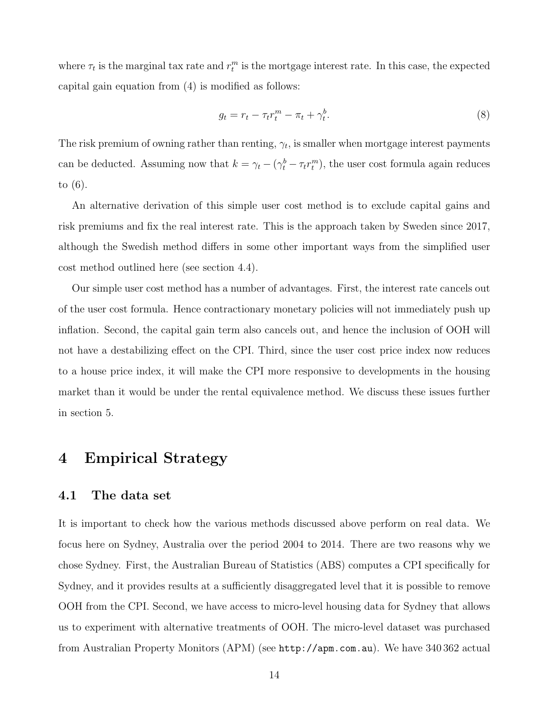where  $\tau_t$  is the marginal tax rate and  $r_t^m$  is the mortgage interest rate. In this case, the expected capital gain equation from (4) is modified as follows:

$$
g_t = r_t - \tau_t r_t^m - \pi_t + \gamma_t^b. \tag{8}
$$

The risk premium of owning rather than renting,  $\gamma_t$ , is smaller when mortgage interest payments can be deducted. Assuming now that  $k = \gamma_t - (\gamma_t^b - \tau_t r_t^m)$ , the user cost formula again reduces to (6).

An alternative derivation of this simple user cost method is to exclude capital gains and risk premiums and fix the real interest rate. This is the approach taken by Sweden since 2017, although the Swedish method differs in some other important ways from the simplified user cost method outlined here (see section 4.4).

Our simple user cost method has a number of advantages. First, the interest rate cancels out of the user cost formula. Hence contractionary monetary policies will not immediately push up inflation. Second, the capital gain term also cancels out, and hence the inclusion of OOH will not have a destabilizing effect on the CPI. Third, since the user cost price index now reduces to a house price index, it will make the CPI more responsive to developments in the housing market than it would be under the rental equivalence method. We discuss these issues further in section 5.

# **4 Empirical Strategy**

### **4.1 The data set**

It is important to check how the various methods discussed above perform on real data. We focus here on Sydney, Australia over the period 2004 to 2014. There are two reasons why we chose Sydney. First, the Australian Bureau of Statistics (ABS) computes a CPI specifically for Sydney, and it provides results at a sufficiently disaggregated level that it is possible to remove OOH from the CPI. Second, we have access to micro-level housing data for Sydney that allows us to experiment with alternative treatments of OOH. The micro-level dataset was purchased from Australian Property Monitors (APM) (see <http://apm.com.au>). We have 340 362 actual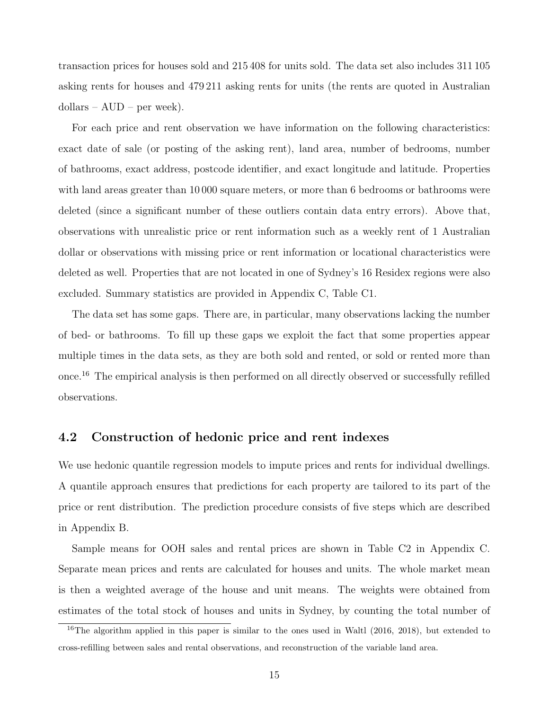transaction prices for houses sold and 215 408 for units sold. The data set also includes 311 105 asking rents for houses and 479 211 asking rents for units (the rents are quoted in Australian dollars – AUD – per week).

For each price and rent observation we have information on the following characteristics: exact date of sale (or posting of the asking rent), land area, number of bedrooms, number of bathrooms, exact address, postcode identifier, and exact longitude and latitude. Properties with land areas greater than 10 000 square meters, or more than 6 bedrooms or bathrooms were deleted (since a significant number of these outliers contain data entry errors). Above that, observations with unrealistic price or rent information such as a weekly rent of 1 Australian dollar or observations with missing price or rent information or locational characteristics were deleted as well. Properties that are not located in one of Sydney's 16 Residex regions were also excluded. Summary statistics are provided in Appendix C, Table C1.

The data set has some gaps. There are, in particular, many observations lacking the number of bed- or bathrooms. To fill up these gaps we exploit the fact that some properties appear multiple times in the data sets, as they are both sold and rented, or sold or rented more than once.16 The empirical analysis is then performed on all directly observed or successfully refilled observations.

### **4.2 Construction of hedonic price and rent indexes**

We use hedonic quantile regression models to impute prices and rents for individual dwellings. A quantile approach ensures that predictions for each property are tailored to its part of the price or rent distribution. The prediction procedure consists of five steps which are described in Appendix B.

Sample means for OOH sales and rental prices are shown in Table C2 in Appendix C. Separate mean prices and rents are calculated for houses and units. The whole market mean is then a weighted average of the house and unit means. The weights were obtained from estimates of the total stock of houses and units in Sydney, by counting the total number of

<sup>&</sup>lt;sup>16</sup>The algorithm applied in this paper is similar to the ones used in Waltl (2016, 2018), but extended to cross-refilling between sales and rental observations, and reconstruction of the variable land area.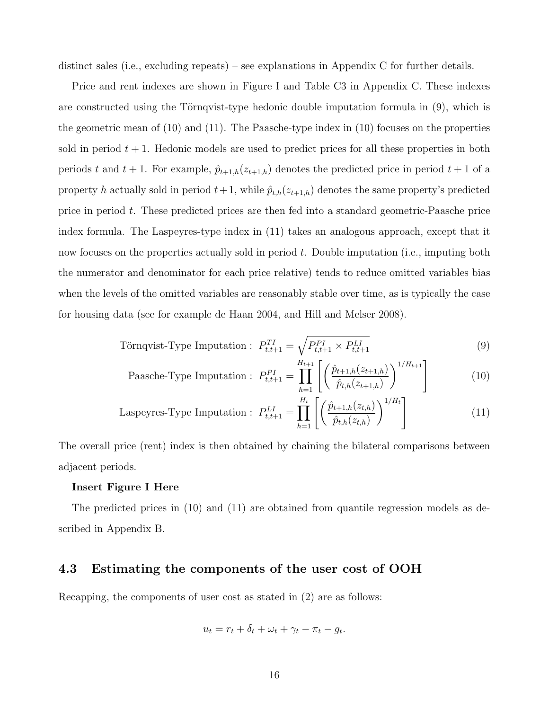distinct sales (i.e., excluding repeats) – see explanations in Appendix C for further details.

Price and rent indexes are shown in Figure I and Table C3 in Appendix C. These indexes are constructed using the Törnqvist-type hedonic double imputation formula in  $(9)$ , which is the geometric mean of (10) and (11). The Paasche-type index in (10) focuses on the properties sold in period  $t + 1$ . Hedonic models are used to predict prices for all these properties in both periods *t* and  $t + 1$ . For example,  $\hat{p}_{t+1,h}(z_{t+1,h})$  denotes the predicted price in period  $t + 1$  of a property *h* actually sold in period  $t + 1$ , while  $\hat{p}_{t,h}(z_{t+1,h})$  denotes the same property's predicted price in period *t*. These predicted prices are then fed into a standard geometric-Paasche price index formula. The Laspeyres-type index in (11) takes an analogous approach, except that it now focuses on the properties actually sold in period *t*. Double imputation (i.e., imputing both the numerator and denominator for each price relative) tends to reduce omitted variables bias when the levels of the omitted variables are reasonably stable over time, as is typically the case for housing data (see for example de Haan 2004, and Hill and Melser 2008).

Törnqvist-Type Imputation : 
$$
P_{t,t+1}^{TI} = \sqrt{P_{t,t+1}^{PI} \times P_{t,t+1}^{LI}}
$$
 (9)

Paasche-Type Imputation : 
$$
P_{t,t+1}^{PI} = \prod_{h=1}^{H_{t+1}} \left[ \left( \frac{\hat{p}_{t+1,h}(z_{t+1,h})}{\hat{p}_{t,h}(z_{t+1,h})} \right)^{1/H_{t+1}} \right]
$$
 (10)

Laspeyres-Type Imputation: 
$$
P_{t,t+1}^{LI} = \prod_{h=1}^{H_t} \left[ \left( \frac{\hat{p}_{t+1,h}(z_{t,h})}{\hat{p}_{t,h}(z_{t,h})} \right)^{1/H_t} \right]
$$
(11)

The overall price (rent) index is then obtained by chaining the bilateral comparisons between adjacent periods.

#### **Insert Figure I Here**

The predicted prices in (10) and (11) are obtained from quantile regression models as described in Appendix B.

### **4.3 Estimating the components of the user cost of OOH**

Recapping, the components of user cost as stated in (2) are as follows:

$$
u_t = r_t + \delta_t + \omega_t + \gamma_t - \pi_t - g_t.
$$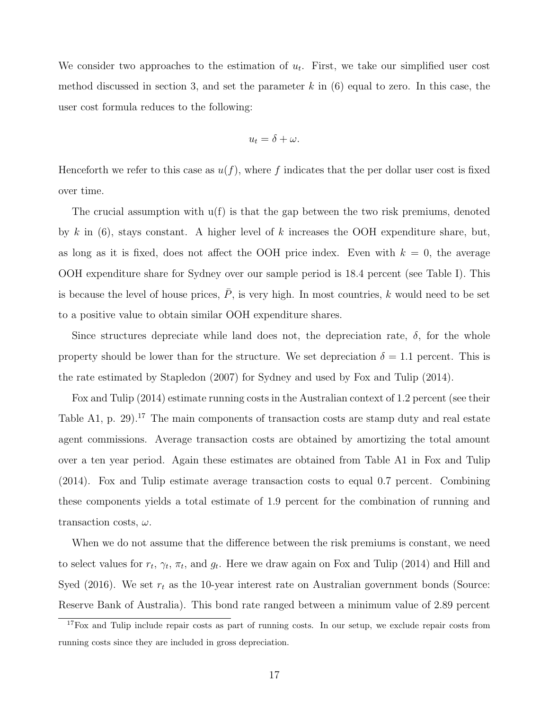We consider two approaches to the estimation of  $u_t$ . First, we take our simplified user cost method discussed in section 3, and set the parameter *k* in (6) equal to zero. In this case, the user cost formula reduces to the following:

$$
u_t = \delta + \omega.
$$

Henceforth we refer to this case as  $u(f)$ , where f indicates that the per dollar user cost is fixed over time.

The crucial assumption with  $u(f)$  is that the gap between the two risk premiums, denoted by *k* in (6), stays constant. A higher level of *k* increases the OOH expenditure share, but, as long as it is fixed, does not affect the OOH price index. Even with  $k = 0$ , the average OOH expenditure share for Sydney over our sample period is 18.4 percent (see Table I). This is because the level of house prices,  $\overline{P}$ , is very high. In most countries, *k* would need to be set to a positive value to obtain similar OOH expenditure shares.

Since structures depreciate while land does not, the depreciation rate,  $\delta$ , for the whole property should be lower than for the structure. We set depreciation  $\delta = 1.1$  percent. This is the rate estimated by Stapledon (2007) for Sydney and used by Fox and Tulip (2014).

Fox and Tulip (2014) estimate running costs in the Australian context of 1.2 percent (see their Table A1, p. 29).<sup>17</sup> The main components of transaction costs are stamp duty and real estate agent commissions. Average transaction costs are obtained by amortizing the total amount over a ten year period. Again these estimates are obtained from Table A1 in Fox and Tulip (2014). Fox and Tulip estimate average transaction costs to equal 0.7 percent. Combining these components yields a total estimate of 1.9 percent for the combination of running and transaction costs, *ω*.

When we do not assume that the difference between the risk premiums is constant, we need to select values for  $r_t$ ,  $\gamma_t$ ,  $\pi_t$ , and  $g_t$ . Here we draw again on Fox and Tulip (2014) and Hill and Syed  $(2016)$ . We set  $r<sub>t</sub>$  as the 10-year interest rate on Australian government bonds (Source: Reserve Bank of Australia). This bond rate ranged between a minimum value of 2.89 percent

<sup>17</sup>Fox and Tulip include repair costs as part of running costs. In our setup, we exclude repair costs from running costs since they are included in gross depreciation.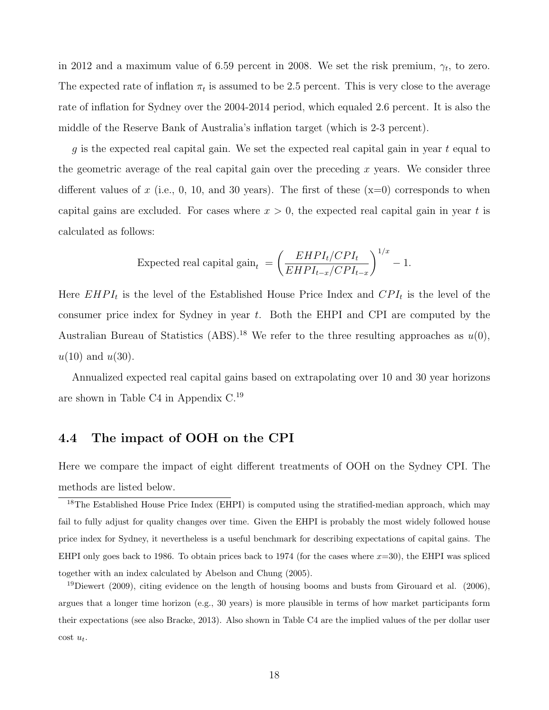in 2012 and a maximum value of 6.59 percent in 2008. We set the risk premium,  $\gamma_t$ , to zero. The expected rate of inflation  $\pi_t$  is assumed to be 2.5 percent. This is very close to the average rate of inflation for Sydney over the 2004-2014 period, which equaled 2.6 percent. It is also the middle of the Reserve Bank of Australia's inflation target (which is 2-3 percent).

*g* is the expected real capital gain. We set the expected real capital gain in year *t* equal to the geometric average of the real capital gain over the preceding *x* years. We consider three different values of  $x$  (i.e., 0, 10, and 30 years). The first of these  $(x=0)$  corresponds to when capital gains are excluded. For cases where  $x > 0$ , the expected real capital gain in year t is calculated as follows:

Expected real capital gain<sub>t</sub> = 
$$
\left(\frac{EHPI_t/CPI_t}{EHPI_{t-x}/CPI_{t-x}}\right)^{1/x} - 1.
$$

Here  $EHPI_t$  is the level of the Established House Price Index and  $CPI_t$  is the level of the consumer price index for Sydney in year *t*. Both the EHPI and CPI are computed by the Australian Bureau of Statistics (ABS).<sup>18</sup> We refer to the three resulting approaches as  $u(0)$ , *u*(10) and *u*(30).

Annualized expected real capital gains based on extrapolating over 10 and 30 year horizons are shown in Table C4 in Appendix C.19

### **4.4 The impact of OOH on the CPI**

Here we compare the impact of eight different treatments of OOH on the Sydney CPI. The methods are listed below.

<sup>&</sup>lt;sup>18</sup>The Established House Price Index (EHPI) is computed using the stratified-median approach, which may fail to fully adjust for quality changes over time. Given the EHPI is probably the most widely followed house price index for Sydney, it nevertheless is a useful benchmark for describing expectations of capital gains. The EHPI only goes back to 1986. To obtain prices back to 1974 (for the cases where  $x=30$ ), the EHPI was spliced together with an index calculated by Abelson and Chung (2005).

<sup>&</sup>lt;sup>19</sup>Diewert (2009), citing evidence on the length of housing booms and busts from Girouard et al. (2006), argues that a longer time horizon (e.g., 30 years) is more plausible in terms of how market participants form their expectations (see also Bracke, 2013). Also shown in Table C4 are the implied values of the per dollar user cost *ut*.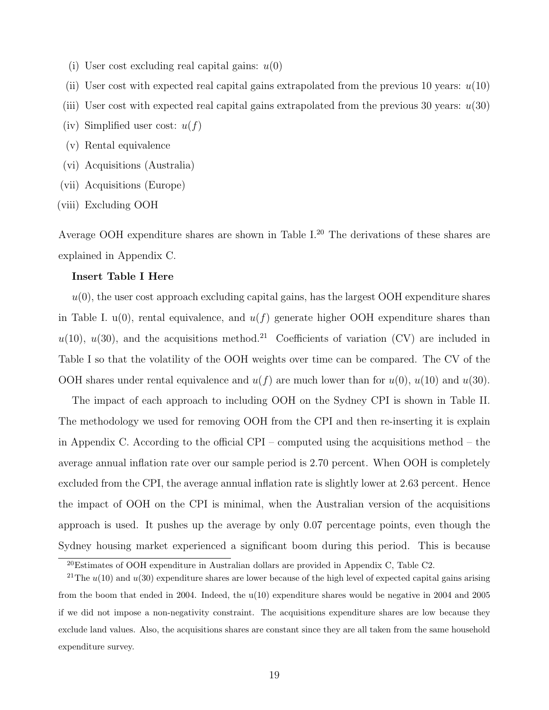(i) User cost excluding real capital gains: *u*(0)

(ii) User cost with expected real capital gains extrapolated from the previous 10 years: *u*(10)

- (iii) User cost with expected real capital gains extrapolated from the previous 30 years: *u*(30)
- (iv) Simplified user cost:  $u(f)$
- (v) Rental equivalence
- (vi) Acquisitions (Australia)
- (vii) Acquisitions (Europe)
- (viii) Excluding OOH

Average OOH expenditure shares are shown in Table I.<sup>20</sup> The derivations of these shares are explained in Appendix C.

#### **Insert Table I Here**

 $u(0)$ , the user cost approach excluding capital gains, has the largest OOH expenditure shares in Table I.  $u(0)$ , rental equivalence, and  $u(f)$  generate higher OOH expenditure shares than  $u(10)$ ,  $u(30)$ , and the acquisitions method.<sup>21</sup> Coefficients of variation (CV) are included in Table I so that the volatility of the OOH weights over time can be compared. The CV of the OOH shares under rental equivalence and  $u(f)$  are much lower than for  $u(0)$ ,  $u(10)$  and  $u(30)$ .

The impact of each approach to including OOH on the Sydney CPI is shown in Table II. The methodology we used for removing OOH from the CPI and then re-inserting it is explain in Appendix C. According to the official CPI – computed using the acquisitions method – the average annual inflation rate over our sample period is 2.70 percent. When OOH is completely excluded from the CPI, the average annual inflation rate is slightly lower at 2.63 percent. Hence the impact of OOH on the CPI is minimal, when the Australian version of the acquisitions approach is used. It pushes up the average by only 0.07 percentage points, even though the Sydney housing market experienced a significant boom during this period. This is because

<sup>20</sup>Estimates of OOH expenditure in Australian dollars are provided in Appendix C, Table C2.

<sup>&</sup>lt;sup>21</sup>The  $u(10)$  and  $u(30)$  expenditure shares are lower because of the high level of expected capital gains arising from the boom that ended in 2004. Indeed, the u(10) expenditure shares would be negative in 2004 and 2005 if we did not impose a non-negativity constraint. The acquisitions expenditure shares are low because they exclude land values. Also, the acquisitions shares are constant since they are all taken from the same household expenditure survey.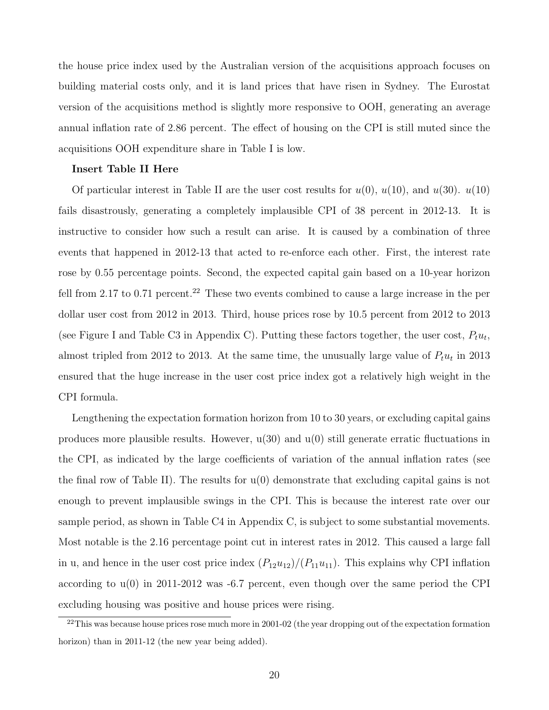the house price index used by the Australian version of the acquisitions approach focuses on building material costs only, and it is land prices that have risen in Sydney. The Eurostat version of the acquisitions method is slightly more responsive to OOH, generating an average annual inflation rate of 2.86 percent. The effect of housing on the CPI is still muted since the acquisitions OOH expenditure share in Table I is low.

#### **Insert Table II Here**

Of particular interest in Table II are the user cost results for  $u(0), u(10),$  and  $u(30), u(10)$ fails disastrously, generating a completely implausible CPI of 38 percent in 2012-13. It is instructive to consider how such a result can arise. It is caused by a combination of three events that happened in 2012-13 that acted to re-enforce each other. First, the interest rate rose by 0.55 percentage points. Second, the expected capital gain based on a 10-year horizon fell from 2.17 to 0.71 percent.<sup>22</sup> These two events combined to cause a large increase in the per dollar user cost from 2012 in 2013. Third, house prices rose by 10.5 percent from 2012 to 2013 (see Figure I and Table C3 in Appendix C). Putting these factors together, the user cost,  $P_t u_t$ , almost tripled from 2012 to 2013. At the same time, the unusually large value of  $P_t u_t$  in 2013 ensured that the huge increase in the user cost price index got a relatively high weight in the CPI formula.

Lengthening the expectation formation horizon from 10 to 30 years, or excluding capital gains produces more plausible results. However,  $u(30)$  and  $u(0)$  still generate erratic fluctuations in the CPI, as indicated by the large coefficients of variation of the annual inflation rates (see the final row of Table II). The results for  $u(0)$  demonstrate that excluding capital gains is not enough to prevent implausible swings in the CPI. This is because the interest rate over our sample period, as shown in Table C4 in Appendix C, is subject to some substantial movements. Most notable is the 2.16 percentage point cut in interest rates in 2012. This caused a large fall in u, and hence in the user cost price index  $(P_{12}u_{12})/(P_{11}u_{11})$ . This explains why CPI inflation according to  $u(0)$  in 2011-2012 was -6.7 percent, even though over the same period the CPI excluding housing was positive and house prices were rising.

<sup>&</sup>lt;sup>22</sup>This was because house prices rose much more in 2001-02 (the year dropping out of the expectation formation horizon) than in 2011-12 (the new year being added).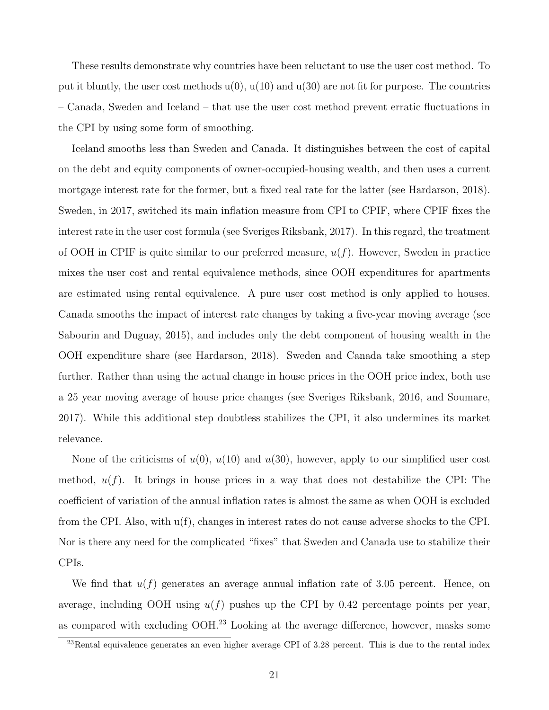These results demonstrate why countries have been reluctant to use the user cost method. To put it bluntly, the user cost methods  $u(0), u(10)$  and  $u(30)$  are not fit for purpose. The countries – Canada, Sweden and Iceland – that use the user cost method prevent erratic fluctuations in the CPI by using some form of smoothing.

Iceland smooths less than Sweden and Canada. It distinguishes between the cost of capital on the debt and equity components of owner-occupied-housing wealth, and then uses a current mortgage interest rate for the former, but a fixed real rate for the latter (see Hardarson, 2018). Sweden, in 2017, switched its main inflation measure from CPI to CPIF, where CPIF fixes the interest rate in the user cost formula (see Sveriges Riksbank, 2017). In this regard, the treatment of OOH in CPIF is quite similar to our preferred measure, *u*(*f*). However, Sweden in practice mixes the user cost and rental equivalence methods, since OOH expenditures for apartments are estimated using rental equivalence. A pure user cost method is only applied to houses. Canada smooths the impact of interest rate changes by taking a five-year moving average (see Sabourin and Duguay, 2015), and includes only the debt component of housing wealth in the OOH expenditure share (see Hardarson, 2018). Sweden and Canada take smoothing a step further. Rather than using the actual change in house prices in the OOH price index, both use a 25 year moving average of house price changes (see Sveriges Riksbank, 2016, and Soumare, 2017). While this additional step doubtless stabilizes the CPI, it also undermines its market relevance.

None of the criticisms of  $u(0)$ ,  $u(10)$  and  $u(30)$ , however, apply to our simplified user cost method,  $u(f)$ . It brings in house prices in a way that does not destabilize the CPI: The coefficient of variation of the annual inflation rates is almost the same as when OOH is excluded from the CPI. Also, with u(f), changes in interest rates do not cause adverse shocks to the CPI. Nor is there any need for the complicated "fixes" that Sweden and Canada use to stabilize their CPIs.

We find that  $u(f)$  generates an average annual inflation rate of 3.05 percent. Hence, on average, including OOH using  $u(f)$  pushes up the CPI by 0.42 percentage points per year, as compared with excluding OOH.<sup>23</sup> Looking at the average difference, however, masks some

<sup>&</sup>lt;sup>23</sup>Rental equivalence generates an even higher average CPI of 3.28 percent. This is due to the rental index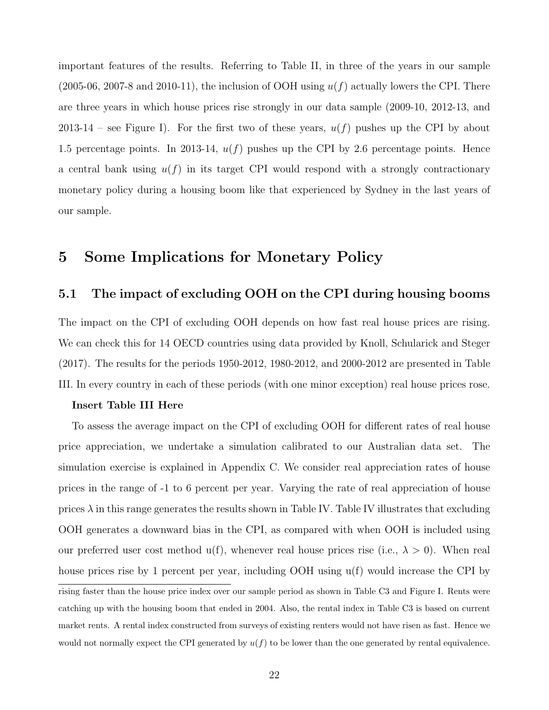important features of the results. Referring to Table II, in three of the years in our sample  $(2005-06, 2007-8, \text{ and } 2010-11)$ , the inclusion of OOH using  $u(f)$  actually lowers the CPI. There are three years in which house prices rise strongly in our data sample (2009-10, 2012-13, and 2013-14 – see Figure I). For the first two of these years,  $u(f)$  pushes up the CPI by about 1.5 percentage points. In 2013-14,  $u(f)$  pushes up the CPI by 2.6 percentage points. Hence a central bank using  $u(f)$  in its target CPI would respond with a strongly contractionary monetary policy during a housing boom like that experienced by Sydney in the last years of our sample.

# **5 Some Implications for Monetary Policy**

### **5.1 The impact of excluding OOH on the CPI during housing booms**

The impact on the CPI of excluding OOH depends on how fast real house prices are rising. We can check this for 14 OECD countries using data provided by Knoll, Schularick and Steger (2017). The results for the periods 1950-2012, 1980-2012, and 2000-2012 are presented in Table III. In every country in each of these periods (with one minor exception) real house prices rose.

#### **Insert Table III Here**

To assess the average impact on the CPI of excluding OOH for different rates of real house price appreciation, we undertake a simulation calibrated to our Australian data set. The simulation exercise is explained in Appendix C. We consider real appreciation rates of house prices in the range of -1 to 6 percent per year. Varying the rate of real appreciation of house prices  $\lambda$  in this range generates the results shown in Table IV. Table IV illustrates that excluding OOH generates a downward bias in the CPI, as compared with when OOH is included using our preferred user cost method  $u(f)$ , whenever real house prices rise (i.e.,  $\lambda > 0$ ). When real house prices rise by 1 percent per year, including OOH using u(f) would increase the CPI by

rising faster than the house price index over our sample period as shown in Table C3 and Figure I. Rents were catching up with the housing boom that ended in 2004. Also, the rental index in Table C3 is based on current market rents. A rental index constructed from surveys of existing renters would not have risen as fast. Hence we would not normally expect the CPI generated by  $u(f)$  to be lower than the one generated by rental equivalence.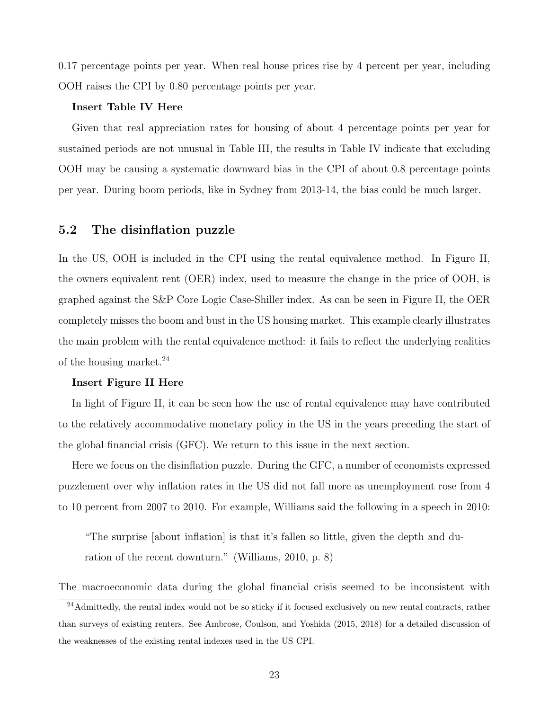0.17 percentage points per year. When real house prices rise by 4 percent per year, including OOH raises the CPI by 0.80 percentage points per year.

#### **Insert Table IV Here**

Given that real appreciation rates for housing of about 4 percentage points per year for sustained periods are not unusual in Table III, the results in Table IV indicate that excluding OOH may be causing a systematic downward bias in the CPI of about 0.8 percentage points per year. During boom periods, like in Sydney from 2013-14, the bias could be much larger.

### **5.2 The disinflation puzzle**

In the US, OOH is included in the CPI using the rental equivalence method. In Figure II, the owners equivalent rent (OER) index, used to measure the change in the price of OOH, is graphed against the S&P Core Logic Case-Shiller index. As can be seen in Figure II, the OER completely misses the boom and bust in the US housing market. This example clearly illustrates the main problem with the rental equivalence method: it fails to reflect the underlying realities of the housing market.24

#### **Insert Figure II Here**

In light of Figure II, it can be seen how the use of rental equivalence may have contributed to the relatively accommodative monetary policy in the US in the years preceding the start of the global financial crisis (GFC). We return to this issue in the next section.

Here we focus on the disinflation puzzle. During the GFC, a number of economists expressed puzzlement over why inflation rates in the US did not fall more as unemployment rose from 4 to 10 percent from 2007 to 2010. For example, Williams said the following in a speech in 2010:

"The surprise [about inflation] is that it's fallen so little, given the depth and duration of the recent downturn." (Williams, 2010, p. 8)

The macroeconomic data during the global financial crisis seemed to be inconsistent with

<sup>&</sup>lt;sup>24</sup>Admittedly, the rental index would not be so sticky if it focused exclusively on new rental contracts, rather than surveys of existing renters. See Ambrose, Coulson, and Yoshida (2015, 2018) for a detailed discussion of the weaknesses of the existing rental indexes used in the US CPI.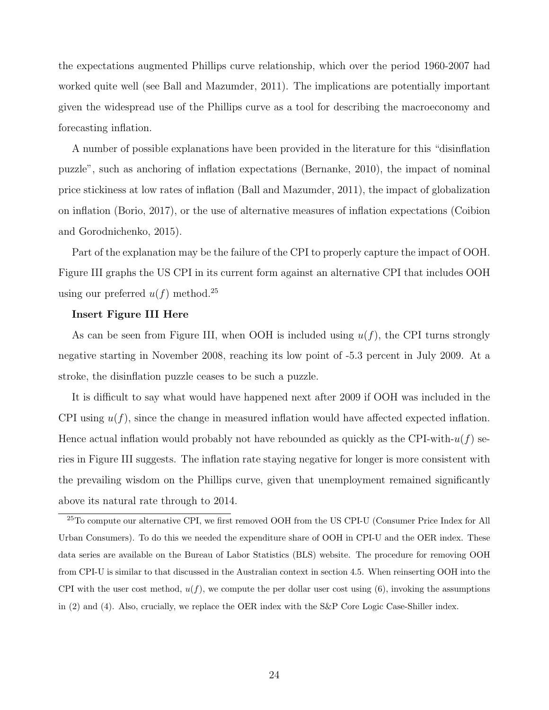the expectations augmented Phillips curve relationship, which over the period 1960-2007 had worked quite well (see Ball and Mazumder, 2011). The implications are potentially important given the widespread use of the Phillips curve as a tool for describing the macroeconomy and forecasting inflation.

A number of possible explanations have been provided in the literature for this "disinflation puzzle", such as anchoring of inflation expectations (Bernanke, 2010), the impact of nominal price stickiness at low rates of inflation (Ball and Mazumder, 2011), the impact of globalization on inflation (Borio, 2017), or the use of alternative measures of inflation expectations (Coibion and Gorodnichenko, 2015).

Part of the explanation may be the failure of the CPI to properly capture the impact of OOH. Figure III graphs the US CPI in its current form against an alternative CPI that includes OOH using our preferred  $u(f)$  method.<sup>25</sup>

#### **Insert Figure III Here**

As can be seen from Figure III, when OOH is included using *u*(*f*), the CPI turns strongly negative starting in November 2008, reaching its low point of -5.3 percent in July 2009. At a stroke, the disinflation puzzle ceases to be such a puzzle.

It is difficult to say what would have happened next after 2009 if OOH was included in the CPI using  $u(f)$ , since the change in measured inflation would have affected expected inflation. Hence actual inflation would probably not have rebounded as quickly as the CPI-with-*u*(*f*) series in Figure III suggests. The inflation rate staying negative for longer is more consistent with the prevailing wisdom on the Phillips curve, given that unemployment remained significantly above its natural rate through to 2014.

<sup>&</sup>lt;sup>25</sup>To compute our alternative CPI, we first removed OOH from the US CPI-U (Consumer Price Index for All Urban Consumers). To do this we needed the expenditure share of OOH in CPI-U and the OER index. These data series are available on the Bureau of Labor Statistics (BLS) website. The procedure for removing OOH from CPI-U is similar to that discussed in the Australian context in section 4.5. When reinserting OOH into the CPI with the user cost method,  $u(f)$ , we compute the per dollar user cost using  $(6)$ , invoking the assumptions in (2) and (4). Also, crucially, we replace the OER index with the S&P Core Logic Case-Shiller index.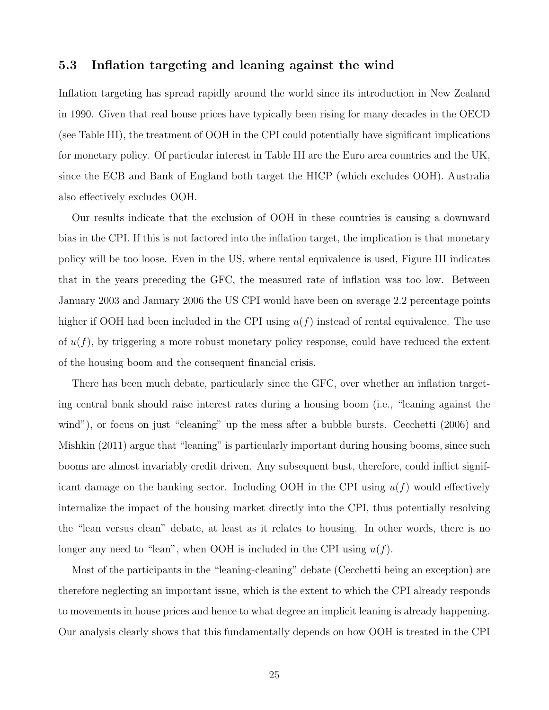### **5.3 Inflation targeting and leaning against the wind**

Inflation targeting has spread rapidly around the world since its introduction in New Zealand in 1990. Given that real house prices have typically been rising for many decades in the OECD (see Table III), the treatment of OOH in the CPI could potentially have significant implications for monetary policy. Of particular interest in Table III are the Euro area countries and the UK, since the ECB and Bank of England both target the HICP (which excludes OOH). Australia also effectively excludes OOH.

Our results indicate that the exclusion of OOH in these countries is causing a downward bias in the CPI. If this is not factored into the inflation target, the implication is that monetary policy will be too loose. Even in the US, where rental equivalence is used, Figure III indicates that in the years preceding the GFC, the measured rate of inflation was too low. Between January 2003 and January 2006 the US CPI would have been on average 2.2 percentage points higher if OOH had been included in the CPI using *u*(*f*) instead of rental equivalence. The use of *u*(*f*), by triggering a more robust monetary policy response, could have reduced the extent of the housing boom and the consequent financial crisis.

There has been much debate, particularly since the GFC, over whether an inflation targeting central bank should raise interest rates during a housing boom (i.e., "leaning against the wind"), or focus on just "cleaning" up the mess after a bubble bursts. Cecchetti (2006) and Mishkin (2011) argue that "leaning" is particularly important during housing booms, since such booms are almost invariably credit driven. Any subsequent bust, therefore, could inflict significant damage on the banking sector. Including OOH in the CPI using *u*(*f*) would effectively internalize the impact of the housing market directly into the CPI, thus potentially resolving the "lean versus clean" debate, at least as it relates to housing. In other words, there is no longer any need to "lean", when OOH is included in the CPI using *u*(*f*).

Most of the participants in the "leaning-cleaning" debate (Cecchetti being an exception) are therefore neglecting an important issue, which is the extent to which the CPI already responds to movements in house prices and hence to what degree an implicit leaning is already happening. Our analysis clearly shows that this fundamentally depends on how OOH is treated in the CPI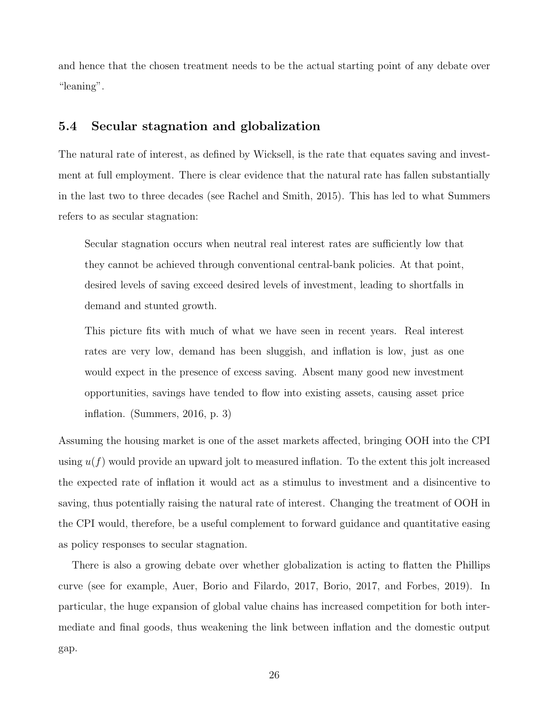and hence that the chosen treatment needs to be the actual starting point of any debate over "leaning".

### **5.4 Secular stagnation and globalization**

The natural rate of interest, as defined by Wicksell, is the rate that equates saving and investment at full employment. There is clear evidence that the natural rate has fallen substantially in the last two to three decades (see Rachel and Smith, 2015). This has led to what Summers refers to as secular stagnation:

Secular stagnation occurs when neutral real interest rates are sufficiently low that they cannot be achieved through conventional central-bank policies. At that point, desired levels of saving exceed desired levels of investment, leading to shortfalls in demand and stunted growth.

This picture fits with much of what we have seen in recent years. Real interest rates are very low, demand has been sluggish, and inflation is low, just as one would expect in the presence of excess saving. Absent many good new investment opportunities, savings have tended to flow into existing assets, causing asset price inflation. (Summers, 2016, p. 3)

Assuming the housing market is one of the asset markets affected, bringing OOH into the CPI using  $u(f)$  would provide an upward jolt to measured inflation. To the extent this jolt increased the expected rate of inflation it would act as a stimulus to investment and a disincentive to saving, thus potentially raising the natural rate of interest. Changing the treatment of OOH in the CPI would, therefore, be a useful complement to forward guidance and quantitative easing as policy responses to secular stagnation.

There is also a growing debate over whether globalization is acting to flatten the Phillips curve (see for example, Auer, Borio and Filardo, 2017, Borio, 2017, and Forbes, 2019). In particular, the huge expansion of global value chains has increased competition for both intermediate and final goods, thus weakening the link between inflation and the domestic output gap.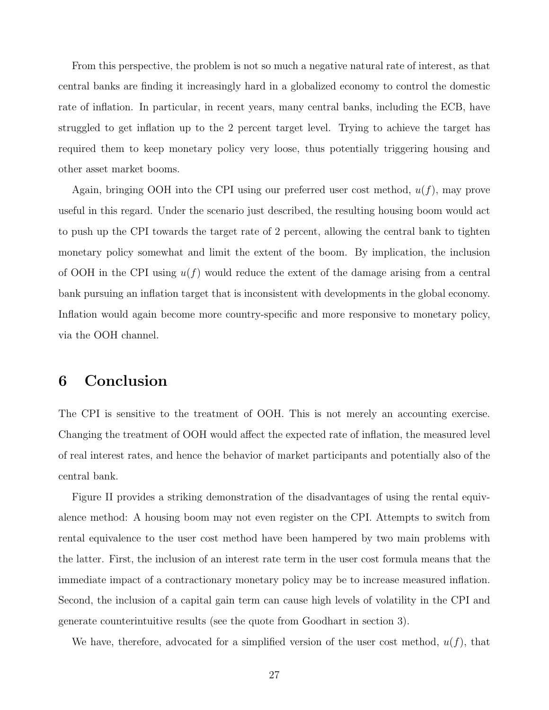From this perspective, the problem is not so much a negative natural rate of interest, as that central banks are finding it increasingly hard in a globalized economy to control the domestic rate of inflation. In particular, in recent years, many central banks, including the ECB, have struggled to get inflation up to the 2 percent target level. Trying to achieve the target has required them to keep monetary policy very loose, thus potentially triggering housing and other asset market booms.

Again, bringing OOH into the CPI using our preferred user cost method, *u*(*f*), may prove useful in this regard. Under the scenario just described, the resulting housing boom would act to push up the CPI towards the target rate of 2 percent, allowing the central bank to tighten monetary policy somewhat and limit the extent of the boom. By implication, the inclusion of OOH in the CPI using *u*(*f*) would reduce the extent of the damage arising from a central bank pursuing an inflation target that is inconsistent with developments in the global economy. Inflation would again become more country-specific and more responsive to monetary policy, via the OOH channel.

# **6 Conclusion**

The CPI is sensitive to the treatment of OOH. This is not merely an accounting exercise. Changing the treatment of OOH would affect the expected rate of inflation, the measured level of real interest rates, and hence the behavior of market participants and potentially also of the central bank.

Figure II provides a striking demonstration of the disadvantages of using the rental equivalence method: A housing boom may not even register on the CPI. Attempts to switch from rental equivalence to the user cost method have been hampered by two main problems with the latter. First, the inclusion of an interest rate term in the user cost formula means that the immediate impact of a contractionary monetary policy may be to increase measured inflation. Second, the inclusion of a capital gain term can cause high levels of volatility in the CPI and generate counterintuitive results (see the quote from Goodhart in section 3).

We have, therefore, advocated for a simplified version of the user cost method,  $u(f)$ , that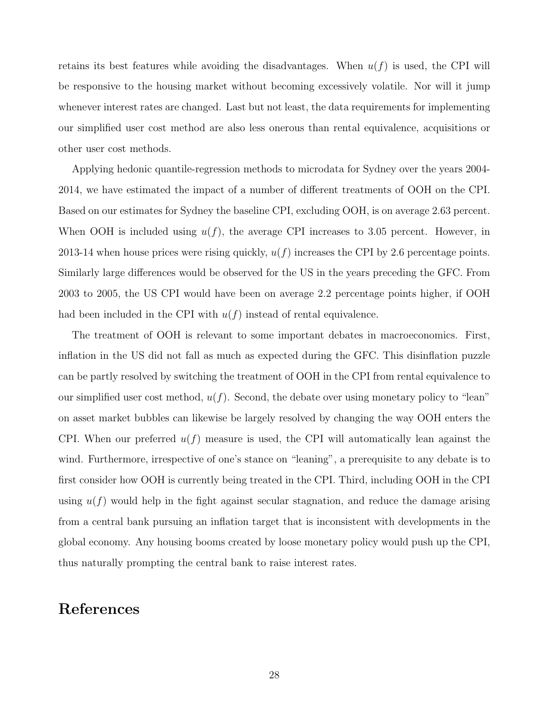retains its best features while avoiding the disadvantages. When  $u(f)$  is used, the CPI will be responsive to the housing market without becoming excessively volatile. Nor will it jump whenever interest rates are changed. Last but not least, the data requirements for implementing our simplified user cost method are also less onerous than rental equivalence, acquisitions or other user cost methods.

Applying hedonic quantile-regression methods to microdata for Sydney over the years 2004- 2014, we have estimated the impact of a number of different treatments of OOH on the CPI. Based on our estimates for Sydney the baseline CPI, excluding OOH, is on average 2.63 percent. When OOH is included using  $u(f)$ , the average CPI increases to 3.05 percent. However, in 2013-14 when house prices were rising quickly, *u*(*f*) increases the CPI by 2.6 percentage points. Similarly large differences would be observed for the US in the years preceding the GFC. From 2003 to 2005, the US CPI would have been on average 2.2 percentage points higher, if OOH had been included in the CPI with *u*(*f*) instead of rental equivalence.

The treatment of OOH is relevant to some important debates in macroeconomics. First, inflation in the US did not fall as much as expected during the GFC. This disinflation puzzle can be partly resolved by switching the treatment of OOH in the CPI from rental equivalence to our simplified user cost method, *u*(*f*). Second, the debate over using monetary policy to "lean" on asset market bubbles can likewise be largely resolved by changing the way OOH enters the CPI. When our preferred  $u(f)$  measure is used, the CPI will automatically lean against the wind. Furthermore, irrespective of one's stance on "leaning", a prerequisite to any debate is to first consider how OOH is currently being treated in the CPI. Third, including OOH in the CPI using  $u(f)$  would help in the fight against secular stagnation, and reduce the damage arising from a central bank pursuing an inflation target that is inconsistent with developments in the global economy. Any housing booms created by loose monetary policy would push up the CPI, thus naturally prompting the central bank to raise interest rates.

# **References**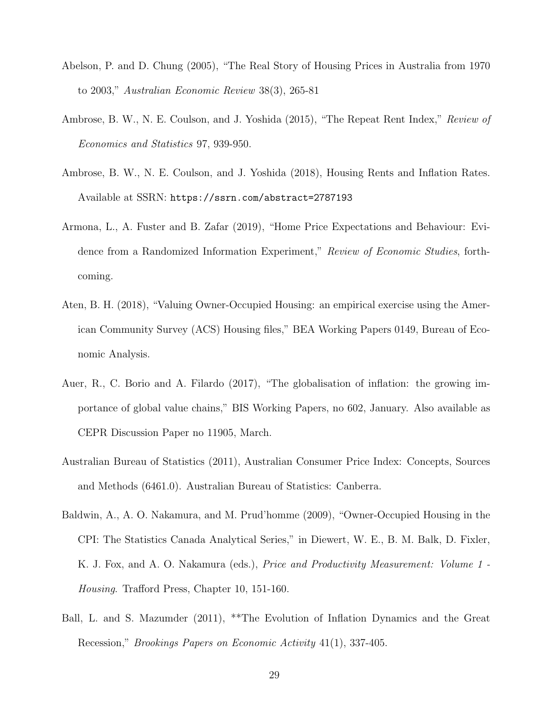- Abelson, P. and D. Chung (2005), "The Real Story of Housing Prices in Australia from 1970 to 2003," *Australian Economic Review* 38(3), 265-81
- Ambrose, B. W., N. E. Coulson, and J. Yoshida (2015), "The Repeat Rent Index," *Review of Economics and Statistics* 97, 939-950.
- Ambrose, B. W., N. E. Coulson, and J. Yoshida (2018), Housing Rents and Inflation Rates. Available at SSRN: <https://ssrn.com/abstract=2787193>
- Armona, L., A. Fuster and B. Zafar (2019), "Home Price Expectations and Behaviour: Evidence from a Randomized Information Experiment," *Review of Economic Studies*, forthcoming.
- Aten, B. H. (2018), "Valuing Owner-Occupied Housing: an empirical exercise using the American Community Survey (ACS) Housing files," BEA Working Papers 0149, Bureau of Economic Analysis.
- Auer, R., C. Borio and A. Filardo (2017), "The globalisation of inflation: the growing importance of global value chains," BIS Working Papers, no 602, January. Also available as CEPR Discussion Paper no 11905, March.
- Australian Bureau of Statistics (2011), Australian Consumer Price Index: Concepts, Sources and Methods (6461.0). Australian Bureau of Statistics: Canberra.
- Baldwin, A., A. O. Nakamura, and M. Prud'homme (2009), "Owner-Occupied Housing in the CPI: The Statistics Canada Analytical Series," in Diewert, W. E., B. M. Balk, D. Fixler, K. J. Fox, and A. O. Nakamura (eds.), *Price and Productivity Measurement: Volume 1 - Housing*. Trafford Press, Chapter 10, 151-160.
- Ball, L. and S. Mazumder (2011), \*\*The Evolution of Inflation Dynamics and the Great Recession," *Brookings Papers on Economic Activity* 41(1), 337-405.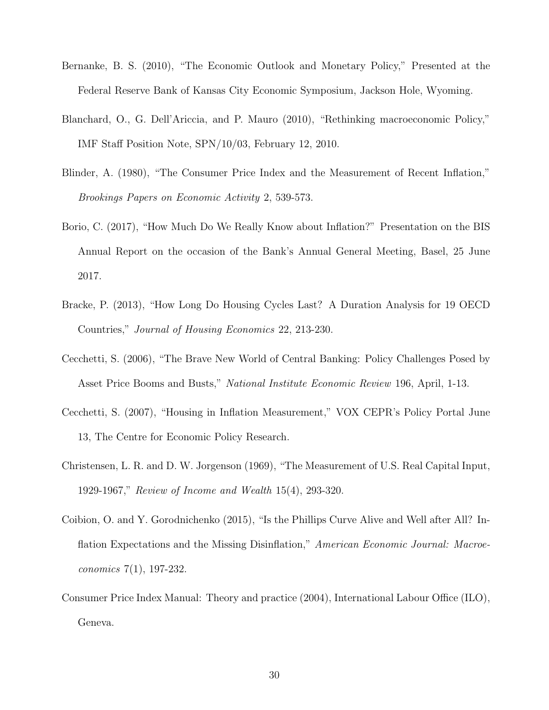- Bernanke, B. S. (2010), "The Economic Outlook and Monetary Policy," Presented at the Federal Reserve Bank of Kansas City Economic Symposium, Jackson Hole, Wyoming.
- Blanchard, O., G. Dell'Ariccia, and P. Mauro (2010), "Rethinking macroeconomic Policy," IMF Staff Position Note, SPN/10/03, February 12, 2010.
- Blinder, A. (1980), "The Consumer Price Index and the Measurement of Recent Inflation," *Brookings Papers on Economic Activity* 2, 539-573.
- Borio, C. (2017), "How Much Do We Really Know about Inflation?" Presentation on the BIS Annual Report on the occasion of the Bank's Annual General Meeting, Basel, 25 June 2017.
- Bracke, P. (2013), "How Long Do Housing Cycles Last? A Duration Analysis for 19 OECD Countries," *Journal of Housing Economics* 22, 213-230.
- Cecchetti, S. (2006), "The Brave New World of Central Banking: Policy Challenges Posed by Asset Price Booms and Busts," *National Institute Economic Review* 196, April, 1-13.
- Cecchetti, S. (2007), "Housing in Inflation Measurement," VOX CEPR's Policy Portal June 13, The Centre for Economic Policy Research.
- Christensen, L. R. and D. W. Jorgenson (1969), "The Measurement of U.S. Real Capital Input, 1929-1967," *Review of Income and Wealth* 15(4), 293-320.
- Coibion, O. and Y. Gorodnichenko (2015), "Is the Phillips Curve Alive and Well after All? Inflation Expectations and the Missing Disinflation," *American Economic Journal: Macroeconomics* 7(1), 197-232.
- Consumer Price Index Manual: Theory and practice (2004), International Labour Office (ILO), Geneva.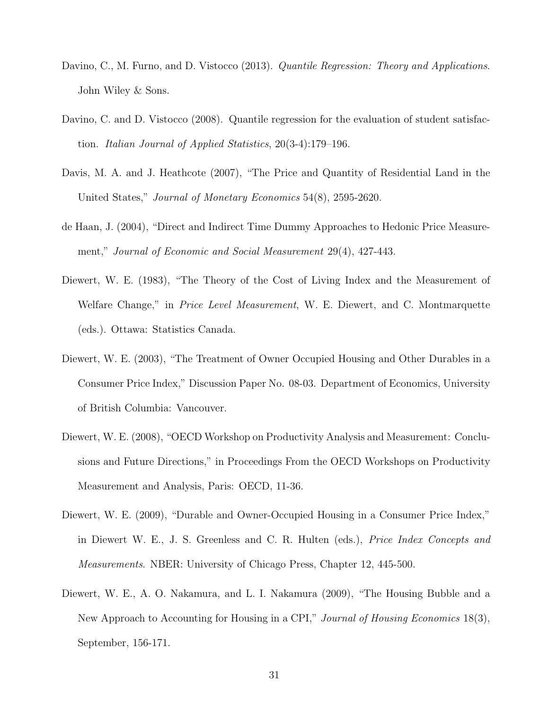- Davino, C., M. Furno, and D. Vistocco (2013). *Quantile Regression: Theory and Applications*. John Wiley & Sons.
- Davino, C. and D. Vistocco (2008). Quantile regression for the evaluation of student satisfaction. *Italian Journal of Applied Statistics*, 20(3-4):179–196.
- Davis, M. A. and J. Heathcote (2007), "The Price and Quantity of Residential Land in the United States," *Journal of Monetary Economics* 54(8), 2595-2620.
- de Haan, J. (2004), "Direct and Indirect Time Dummy Approaches to Hedonic Price Measurement," *Journal of Economic and Social Measurement* 29(4), 427-443.
- Diewert, W. E. (1983), "The Theory of the Cost of Living Index and the Measurement of Welfare Change," in *Price Level Measurement*, W. E. Diewert, and C. Montmarquette (eds.). Ottawa: Statistics Canada.
- Diewert, W. E. (2003), "The Treatment of Owner Occupied Housing and Other Durables in a Consumer Price Index," Discussion Paper No. 08-03. Department of Economics, University of British Columbia: Vancouver.
- Diewert, W. E. (2008), "OECD Workshop on Productivity Analysis and Measurement: Conclusions and Future Directions," in Proceedings From the OECD Workshops on Productivity Measurement and Analysis, Paris: OECD, 11-36.
- Diewert, W. E. (2009), "Durable and Owner-Occupied Housing in a Consumer Price Index," in Diewert W. E., J. S. Greenless and C. R. Hulten (eds.), *Price Index Concepts and Measurements*. NBER: University of Chicago Press, Chapter 12, 445-500.
- Diewert, W. E., A. O. Nakamura, and L. I. Nakamura (2009), "The Housing Bubble and a New Approach to Accounting for Housing in a CPI," *Journal of Housing Economics* 18(3), September, 156-171.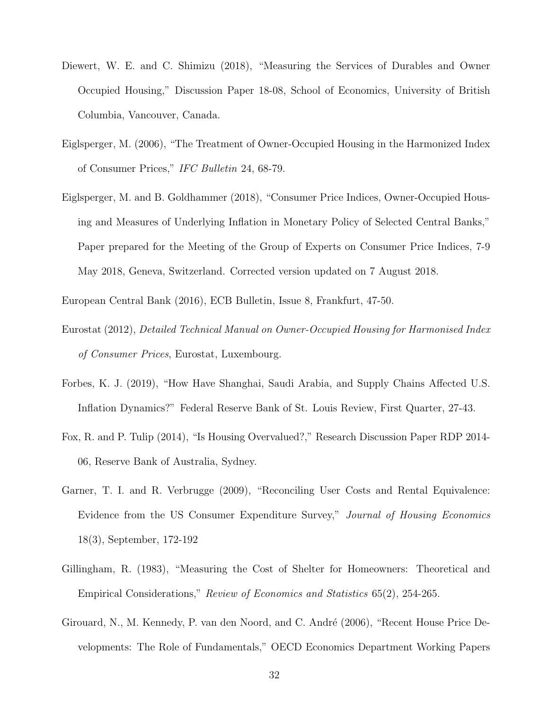- Diewert, W. E. and C. Shimizu (2018), "Measuring the Services of Durables and Owner Occupied Housing," Discussion Paper 18-08, School of Economics, University of British Columbia, Vancouver, Canada.
- Eiglsperger, M. (2006), "The Treatment of Owner-Occupied Housing in the Harmonized Index of Consumer Prices," *IFC Bulletin* 24, 68-79.
- Eiglsperger, M. and B. Goldhammer (2018), "Consumer Price Indices, Owner-Occupied Housing and Measures of Underlying Inflation in Monetary Policy of Selected Central Banks," Paper prepared for the Meeting of the Group of Experts on Consumer Price Indices, 7-9 May 2018, Geneva, Switzerland. Corrected version updated on 7 August 2018.

European Central Bank (2016), ECB Bulletin, Issue 8, Frankfurt, 47-50.

- Eurostat (2012), *Detailed Technical Manual on Owner-Occupied Housing for Harmonised Index of Consumer Prices*, Eurostat, Luxembourg.
- Forbes, K. J. (2019), "How Have Shanghai, Saudi Arabia, and Supply Chains Affected U.S. Inflation Dynamics?" Federal Reserve Bank of St. Louis Review, First Quarter, 27-43.
- Fox, R. and P. Tulip (2014), "Is Housing Overvalued?," Research Discussion Paper RDP 2014- 06, Reserve Bank of Australia, Sydney.
- Garner, T. I. and R. Verbrugge (2009), "Reconciling User Costs and Rental Equivalence: Evidence from the US Consumer Expenditure Survey," *Journal of Housing Economics* 18(3), September, 172-192
- Gillingham, R. (1983), "Measuring the Cost of Shelter for Homeowners: Theoretical and Empirical Considerations," *Review of Economics and Statistics* 65(2), 254-265.
- Girouard, N., M. Kennedy, P. van den Noord, and C. André (2006), "Recent House Price Developments: The Role of Fundamentals," OECD Economics Department Working Papers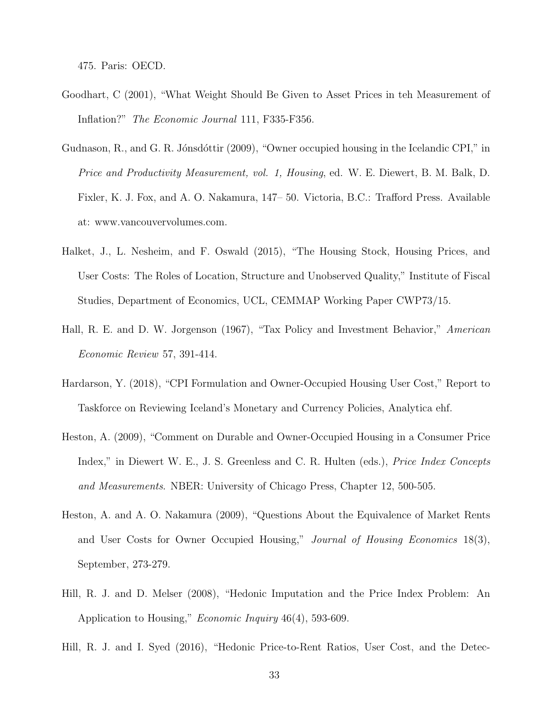475. Paris: OECD.

- Goodhart, C (2001), "What Weight Should Be Given to Asset Prices in teh Measurement of Inflation?" *The Economic Journal* 111, F335-F356.
- Gudnason, R., and G. R. Jónsdóttir (2009), "Owner occupied housing in the Icelandic CPI," in *Price and Productivity Measurement, vol. 1, Housing*, ed. W. E. Diewert, B. M. Balk, D. Fixler, K. J. Fox, and A. O. Nakamura, 147– 50. Victoria, B.C.: Trafford Press. Available at: www.vancouvervolumes.com.
- Halket, J., L. Nesheim, and F. Oswald (2015), "The Housing Stock, Housing Prices, and User Costs: The Roles of Location, Structure and Unobserved Quality," Institute of Fiscal Studies, Department of Economics, UCL, CEMMAP Working Paper CWP73/15.
- Hall, R. E. and D. W. Jorgenson (1967), "Tax Policy and Investment Behavior," *American Economic Review* 57, 391-414.
- Hardarson, Y. (2018), "CPI Formulation and Owner-Occupied Housing User Cost," Report to Taskforce on Reviewing Iceland's Monetary and Currency Policies, Analytica ehf.
- Heston, A. (2009), "Comment on Durable and Owner-Occupied Housing in a Consumer Price Index," in Diewert W. E., J. S. Greenless and C. R. Hulten (eds.), *Price Index Concepts and Measurements*. NBER: University of Chicago Press, Chapter 12, 500-505.
- Heston, A. and A. O. Nakamura (2009), "Questions About the Equivalence of Market Rents and User Costs for Owner Occupied Housing," *Journal of Housing Economics* 18(3), September, 273-279.
- Hill, R. J. and D. Melser (2008), "Hedonic Imputation and the Price Index Problem: An Application to Housing," *Economic Inquiry* 46(4), 593-609.

Hill, R. J. and I. Syed (2016), "Hedonic Price-to-Rent Ratios, User Cost, and the Detec-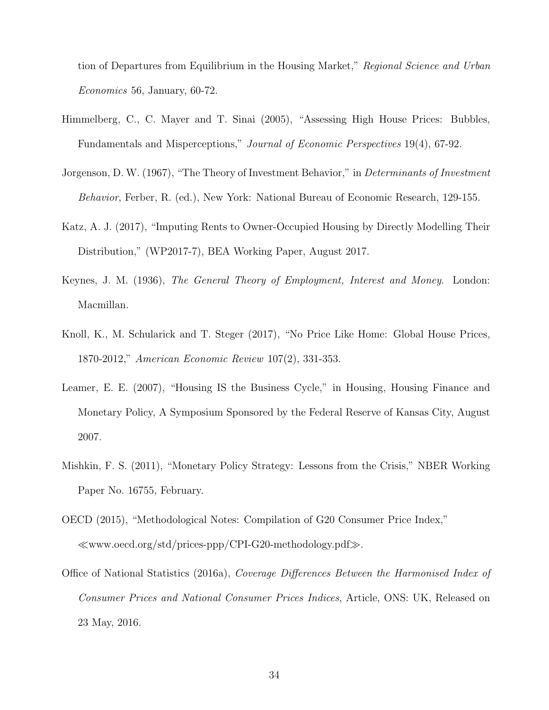tion of Departures from Equilibrium in the Housing Market," *Regional Science and Urban Economics* 56, January, 60-72.

- Himmelberg, C., C. Mayer and T. Sinai (2005), "Assessing High House Prices: Bubbles, Fundamentals and Misperceptions," *Journal of Economic Perspectives* 19(4), 67-92.
- Jorgenson, D. W. (1967), "The Theory of Investment Behavior," in *Determinants of Investment Behavior*, Ferber, R. (ed.), New York: National Bureau of Economic Research, 129-155.
- Katz, A. J. (2017), "Imputing Rents to Owner-Occupied Housing by Directly Modelling Their Distribution," (WP2017-7), BEA Working Paper, August 2017.
- Keynes, J. M. (1936), *The General Theory of Employment, Interest and Money*. London: Macmillan.
- Knoll, K., M. Schularick and T. Steger (2017), "No Price Like Home: Global House Prices, 1870-2012," *American Economic Review* 107(2), 331-353.
- Leamer, E. E. (2007), "Housing IS the Business Cycle," in Housing, Housing Finance and Monetary Policy, A Symposium Sponsored by the Federal Reserve of Kansas City, August 2007.
- Mishkin, F. S. (2011), "Monetary Policy Strategy: Lessons from the Crisis," NBER Working Paper No. 16755, February.
- OECD (2015), "Methodological Notes: Compilation of G20 Consumer Price Index," www.oecd.org/std/prices-ppp/CPI-G20-methodology.pdf*-*.
- Office of National Statistics (2016a), *Coverage Differences Between the Harmonised Index of Consumer Prices and National Consumer Prices Indices*, Article, ONS: UK, Released on 23 May, 2016.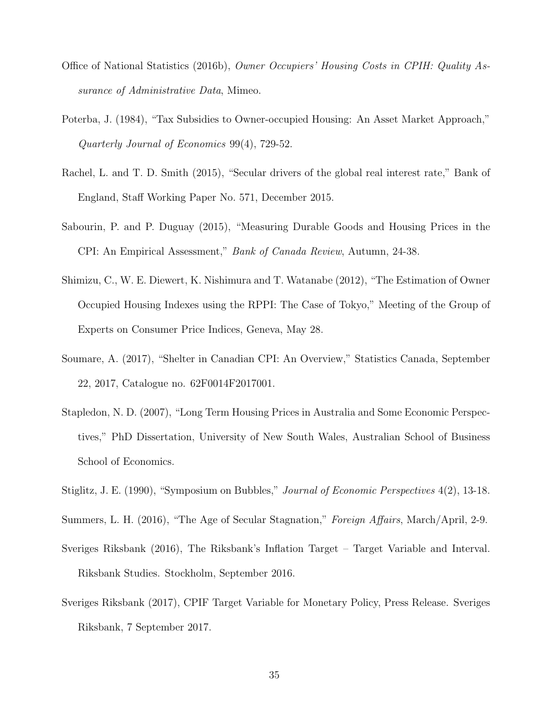- Office of National Statistics (2016b), *Owner Occupiers' Housing Costs in CPIH: Quality Assurance of Administrative Data*, Mimeo.
- Poterba, J. (1984), "Tax Subsidies to Owner-occupied Housing: An Asset Market Approach," *Quarterly Journal of Economics* 99(4), 729-52.
- Rachel, L. and T. D. Smith (2015), "Secular drivers of the global real interest rate," Bank of England, Staff Working Paper No. 571, December 2015.
- Sabourin, P. and P. Duguay (2015), "Measuring Durable Goods and Housing Prices in the CPI: An Empirical Assessment," *Bank of Canada Review*, Autumn, 24-38.
- Shimizu, C., W. E. Diewert, K. Nishimura and T. Watanabe (2012), "The Estimation of Owner Occupied Housing Indexes using the RPPI: The Case of Tokyo," Meeting of the Group of Experts on Consumer Price Indices, Geneva, May 28.
- Soumare, A. (2017), "Shelter in Canadian CPI: An Overview," Statistics Canada, September 22, 2017, Catalogue no. 62F0014F2017001.
- Stapledon, N. D. (2007), "Long Term Housing Prices in Australia and Some Economic Perspectives," PhD Dissertation, University of New South Wales, Australian School of Business School of Economics.
- Stiglitz, J. E. (1990), "Symposium on Bubbles," *Journal of Economic Perspectives* 4(2), 13-18.
- Summers, L. H. (2016), "The Age of Secular Stagnation," *Foreign Affairs*, March/April, 2-9.
- Sveriges Riksbank (2016), The Riksbank's Inflation Target Target Variable and Interval. Riksbank Studies. Stockholm, September 2016.
- Sveriges Riksbank (2017), CPIF Target Variable for Monetary Policy, Press Release. Sveriges Riksbank, 7 September 2017.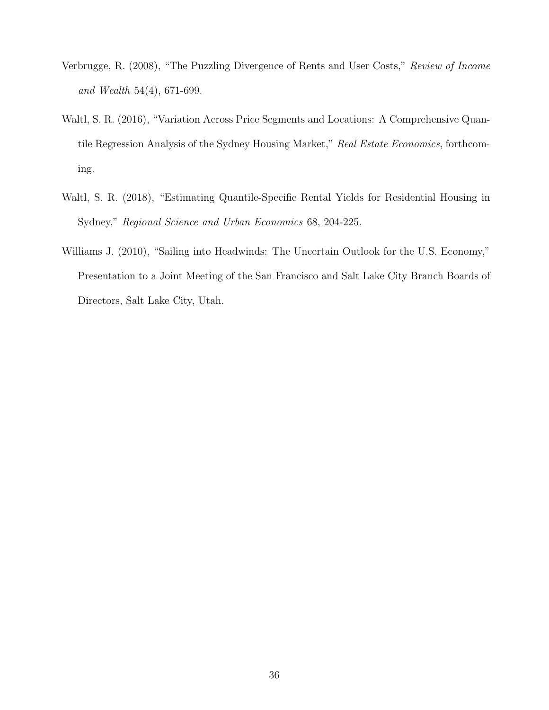- Verbrugge, R. (2008), "The Puzzling Divergence of Rents and User Costs," *Review of Income and Wealth* 54(4), 671-699.
- Waltl, S. R. (2016), "Variation Across Price Segments and Locations: A Comprehensive Quantile Regression Analysis of the Sydney Housing Market," *Real Estate Economics*, forthcoming.
- Waltl, S. R. (2018), "Estimating Quantile-Specific Rental Yields for Residential Housing in Sydney," *Regional Science and Urban Economics* 68, 204-225.
- Williams J. (2010), "Sailing into Headwinds: The Uncertain Outlook for the U.S. Economy," Presentation to a Joint Meeting of the San Francisco and Salt Lake City Branch Boards of Directors, Salt Lake City, Utah.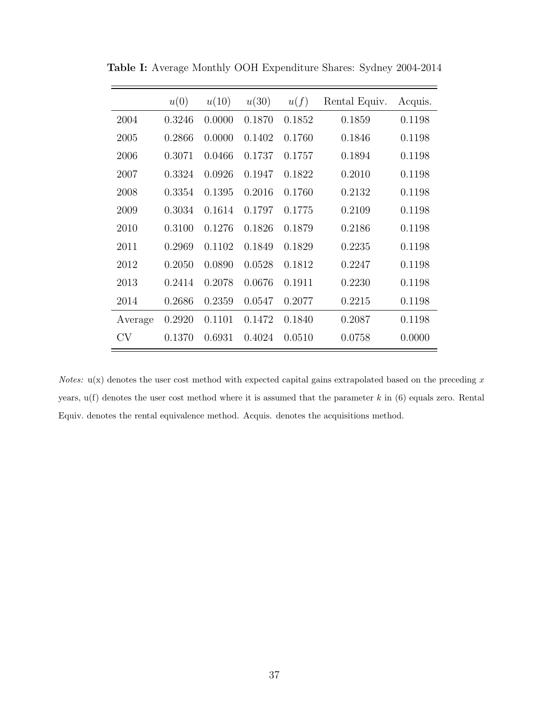|         | u(0)   | u(10)  | u(30)  | u(f)   | Rental Equiv. | Acquis. |
|---------|--------|--------|--------|--------|---------------|---------|
| 2004    | 0.3246 | 0.0000 | 0.1870 | 0.1852 | 0.1859        | 0.1198  |
| 2005    | 0.2866 | 0.0000 | 0.1402 | 0.1760 | 0.1846        | 0.1198  |
| 2006    | 0.3071 | 0.0466 | 0.1737 | 0.1757 | 0.1894        | 0.1198  |
| 2007    | 0.3324 | 0.0926 | 0.1947 | 0.1822 | 0.2010        | 0.1198  |
| 2008    | 0.3354 | 0.1395 | 0.2016 | 0.1760 | 0.2132        | 0.1198  |
| 2009    | 0.3034 | 0.1614 | 0.1797 | 0.1775 | 0.2109        | 0.1198  |
| 2010    | 0.3100 | 0.1276 | 0.1826 | 0.1879 | 0.2186        | 0.1198  |
| 2011    | 0.2969 | 0.1102 | 0.1849 | 0.1829 | 0.2235        | 0.1198  |
| 2012    | 0.2050 | 0.0890 | 0.0528 | 0.1812 | 0.2247        | 0.1198  |
| 2013    | 0.2414 | 0.2078 | 0.0676 | 0.1911 | 0.2230        | 0.1198  |
| 2014    | 0.2686 | 0.2359 | 0.0547 | 0.2077 | 0.2215        | 0.1198  |
| Average | 0.2920 | 0.1101 | 0.1472 | 0.1840 | 0.2087        | 0.1198  |
| CV      | 0.1370 | 0.6931 | 0.4024 | 0.0510 | 0.0758        | 0.0000  |

**Table I:** Average Monthly OOH Expenditure Shares: Sydney 2004-2014

*Notes:* u(x) denotes the user cost method with expected capital gains extrapolated based on the preceding x years, u(f) denotes the user cost method where it is assumed that the parameter *k* in (6) equals zero. Rental Equiv. denotes the rental equivalence method. Acquis. denotes the acquisitions method.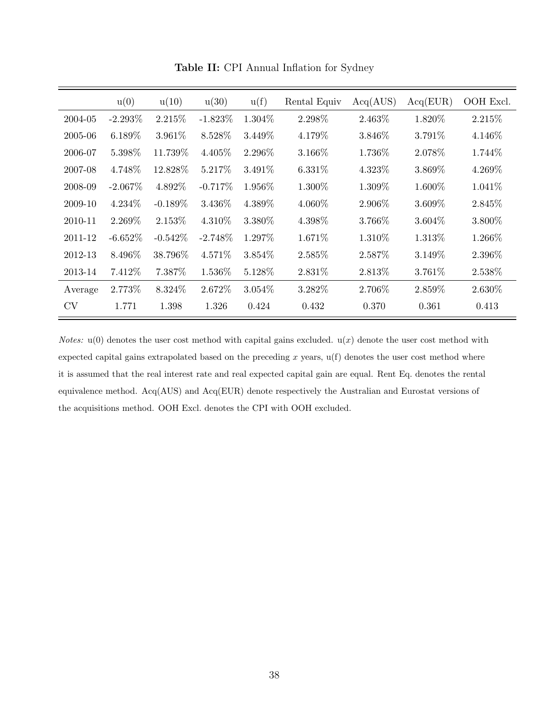|         | u(0)       | u(10)      | u(30)      | u(f)      | Rental Equiv | Acq(AUS) | Acq(EUR)  | OOH Excl. |
|---------|------------|------------|------------|-----------|--------------|----------|-----------|-----------|
| 2004-05 | $-2.293\%$ | 2.215\%    | $-1.823\%$ | 1.304\%   | 2.298%       | 2.463%   | 1.820%    | 2.215\%   |
| 2005-06 | $6.189\%$  | $3.961\%$  | 8.528\%    | 3.449\%   | 4.179%       | 3.846\%  | 3.791\%   | 4.146\%   |
| 2006-07 | 5.398\%    | 11.739\%   | $4.405\%$  | 2.296\%   | 3.166\%      | 1.736\%  | 2.078\%   | 1.744\%   |
| 2007-08 | 4.748\%    | 12.828\%   | 5.217\%    | $3.491\%$ | $6.331\%$    | 4.323\%  | 3.869\%   | 4.269\%   |
| 2008-09 | $-2.067\%$ | 4.892\%    | $-0.717%$  | 1.956\%   | 1.300\%      | 1.309\%  | 1.600\%   | $1.041\%$ |
| 2009-10 | $4.234\%$  | $-0.189\%$ | 3.436\%    | 4.389\%   | 4.060\%      | 2.906\%  | 3.609%    | 2.845\%   |
| 2010-11 | 2.269\%    | 2.153\%    | 4.310\%    | 3.380\%   | 4.398\%      | 3.766\%  | $3.604\%$ | 3.800\%   |
| 2011-12 | $-6.652\%$ | $-0.542\%$ | $-2.748\%$ | 1.297\%   | 1.671\%      | 1.310\%  | 1.313\%   | 1.266\%   |
| 2012-13 | 8.496\%    | 38.796\%   | $4.571\%$  | 3.854\%   | 2.585\%      | 2.587\%  | 3.149\%   | 2.396\%   |
| 2013-14 | 7.412\%    | 7.387\%    | $1.536\%$  | 5.128\%   | 2.831\%      | 2.813\%  | 3.761\%   | 2.538\%   |
| Average | 2.773\%    | 8.324\%    | 2.672\%    | $3.054\%$ | 3.282%       | 2.706\%  | 2.859%    | 2.630\%   |
| CV      | 1.771      | 1.398      | 1.326      | 0.424     | 0.432        | 0.370    | 0.361     | 0.413     |

**Table II:** CPI Annual Inflation for Sydney

*Notes:*  $u(0)$  denotes the user cost method with capital gains excluded.  $u(x)$  denote the user cost method with expected capital gains extrapolated based on the preceding *x* years, u(f) denotes the user cost method where it is assumed that the real interest rate and real expected capital gain are equal. Rent Eq. denotes the rental equivalence method. Acq(AUS) and Acq(EUR) denote respectively the Australian and Eurostat versions of the acquisitions method. OOH Excl. denotes the CPI with OOH excluded.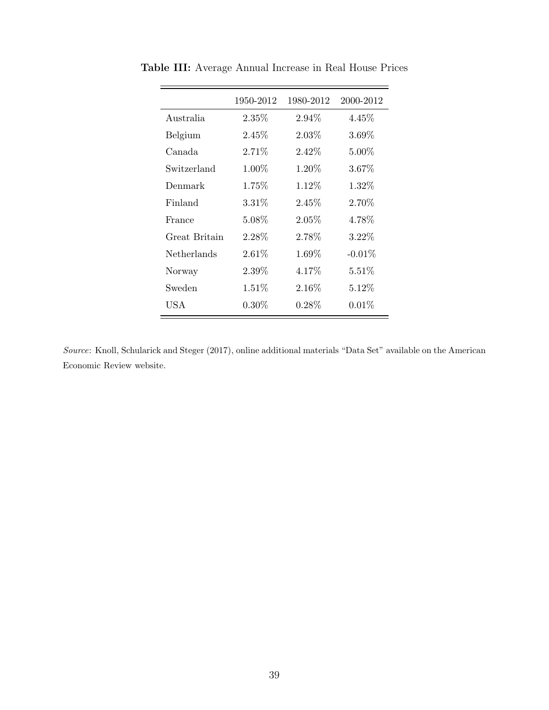|               | 1950-2012 | 1980-2012 | 2000-2012 |
|---------------|-----------|-----------|-----------|
| Australia     | 2.35%     | $2.94\%$  | $4.45\%$  |
| Belgium       | 2.45\%    | $2.03\%$  | $3.69\%$  |
| Canada        | $2.71\%$  | $2.42\%$  | $5.00\%$  |
| Switzerland   | $1.00\%$  | $1.20\%$  | $3.67\%$  |
| Denmark       | 1.75\%    | $1.12\%$  | $1.32\%$  |
| Finland       | 3.31%     | 2.45%     | $2.70\%$  |
| France        | $5.08\%$  | 2.05%     | 4.78%     |
| Great Britain | 2.28%     | $2.78\%$  | $3.22\%$  |
| Netherlands   | $2.61\%$  | $1.69\%$  | $-0.01\%$ |
| Norway        | $2.39\%$  | $4.17\%$  | $5.51\%$  |
| Sweden        | $1.51\%$  | $2.16\%$  | $5.12\%$  |
| USA           | $0.30\%$  | $0.28\%$  | $0.01\%$  |

**Table III:** Average Annual Increase in Real House Prices

*Source*: Knoll, Schularick and Steger (2017), online additional materials "Data Set" available on the American Economic Review website.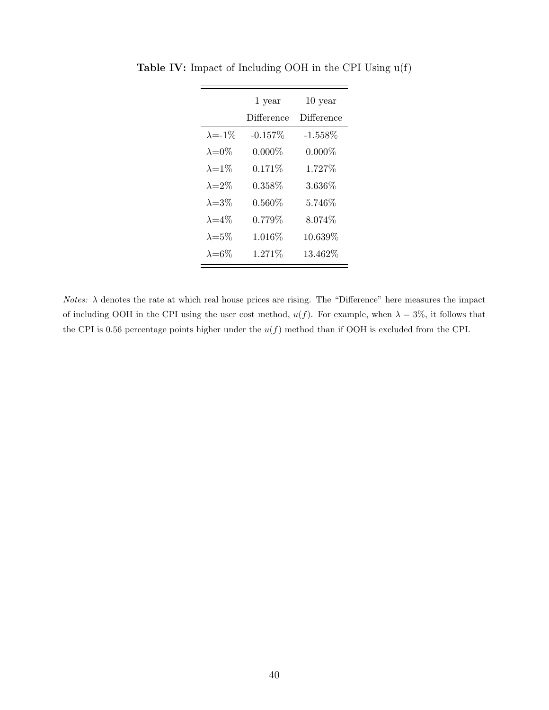|                  | 1 year     | 10 year    |
|------------------|------------|------------|
|                  | Difference | Difference |
| $\lambda = -1\%$ | $-0.157\%$ | $-1.558\%$ |
| $\lambda = 0\%$  | $0.000\%$  | $0.000\%$  |
| $\lambda = 1\%$  | $0.171\%$  | 1.727\%    |
| $\lambda = 2\%$  | 0.358%     | $3.636\%$  |
| $\lambda = 3\%$  | $0.560\%$  | $5.746\%$  |
| $\lambda = 4\%$  | $0.779\%$  | $8.074\%$  |
| $\lambda = 5\%$  | $1.016\%$  | 10.639%    |
| $\lambda = 6\%$  | 1.271\%    | 13.462\%   |

**Table IV:** Impact of Including OOH in the CPI Using u(f)

 $\equiv$ 

*Notes:*  $\lambda$  denotes the rate at which real house prices are rising. The "Difference" here measures the impact of including OOH in the CPI using the user cost method,  $u(f)$ . For example, when  $\lambda = 3\%$ , it follows that the CPI is 0.56 percentage points higher under the  $u(f)$  method than if OOH is excluded from the CPI.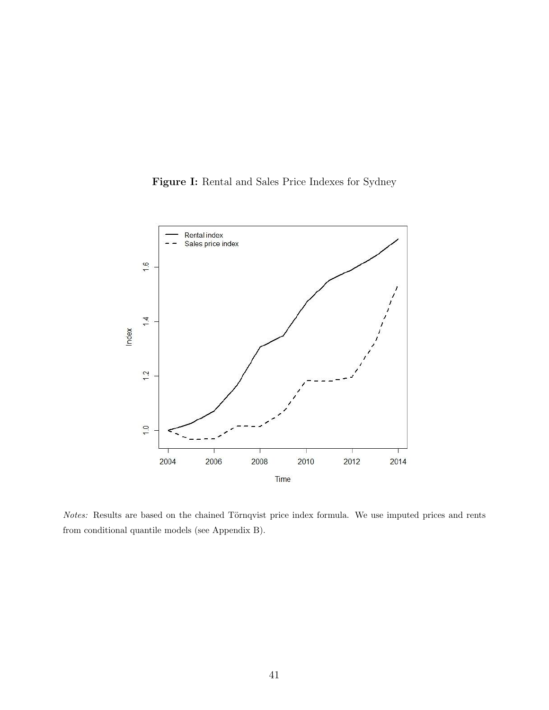



*Notes:* Results are based on the chained Törnqvist price index formula. We use imputed prices and rents from conditional quantile models (see Appendix B).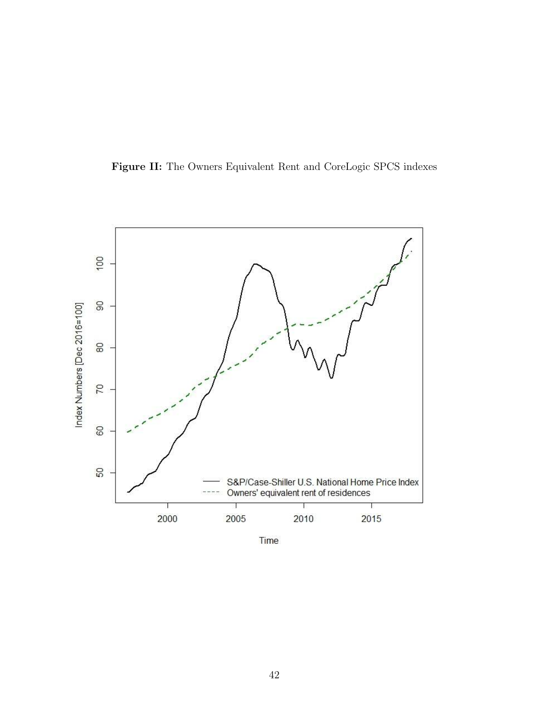



Time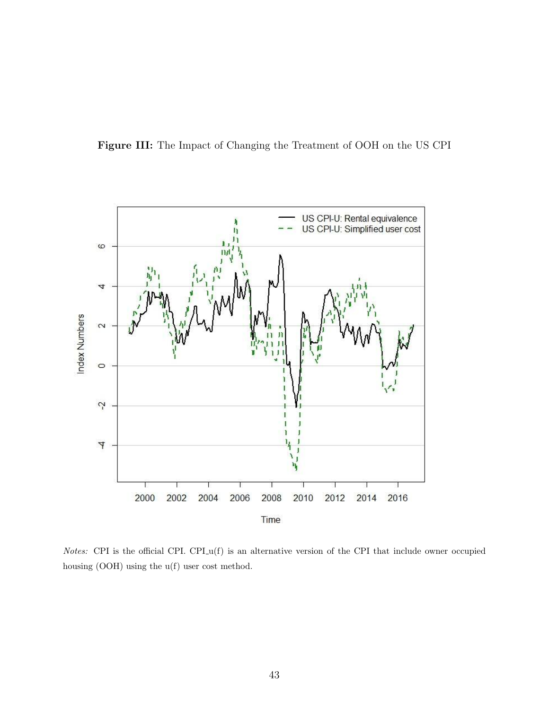



*Notes:* CPI is the official CPI. CPI<sub>-u</sub>(f) is an alternative version of the CPI that include owner occupied housing (OOH) using the u(f) user cost method.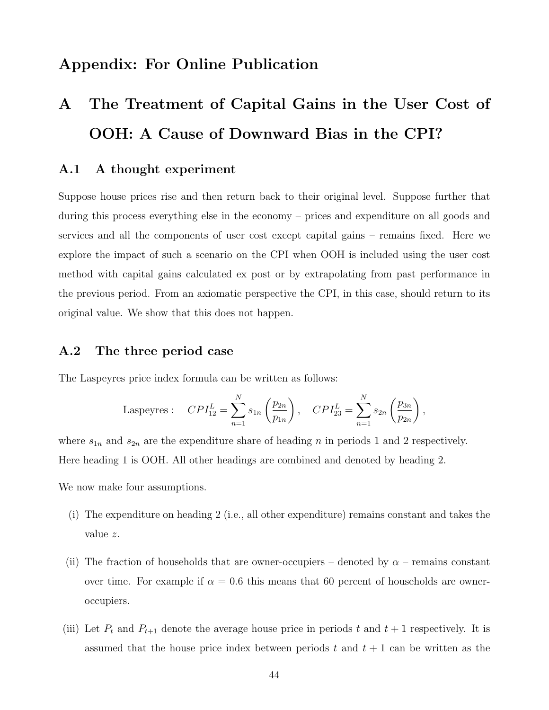# **Appendix: For Online Publication**

# **A The Treatment of Capital Gains in the User Cost of OOH: A Cause of Downward Bias in the CPI?**

# **A.1 A thought experiment**

Suppose house prices rise and then return back to their original level. Suppose further that during this process everything else in the economy – prices and expenditure on all goods and services and all the components of user cost except capital gains – remains fixed. Here we explore the impact of such a scenario on the CPI when OOH is included using the user cost method with capital gains calculated ex post or by extrapolating from past performance in the previous period. From an axiomatic perspective the CPI, in this case, should return to its original value. We show that this does not happen.

### **A.2 The three period case**

The Laspeyres price index formula can be written as follows:

Laspeyres: 
$$
CPI_{12}^L = \sum_{n=1}^N s_{1n} \left(\frac{p_{2n}}{p_{1n}}\right), \quad CPI_{23}^L = \sum_{n=1}^N s_{2n} \left(\frac{p_{3n}}{p_{2n}}\right),
$$

where  $s_{1n}$  and  $s_{2n}$  are the expenditure share of heading  $n$  in periods 1 and 2 respectively. Here heading 1 is OOH. All other headings are combined and denoted by heading 2.

We now make four assumptions.

- (i) The expenditure on heading 2 (i.e., all other expenditure) remains constant and takes the value *z*.
- (ii) The fraction of households that are owner-occupiers denoted by  $\alpha$  remains constant over time. For example if  $\alpha = 0.6$  this means that 60 percent of households are owneroccupiers.
- (iii) Let  $P_t$  and  $P_{t+1}$  denote the average house price in periods  $t$  and  $t+1$  respectively. It is assumed that the house price index between periods *t* and *t* + 1 can be written as the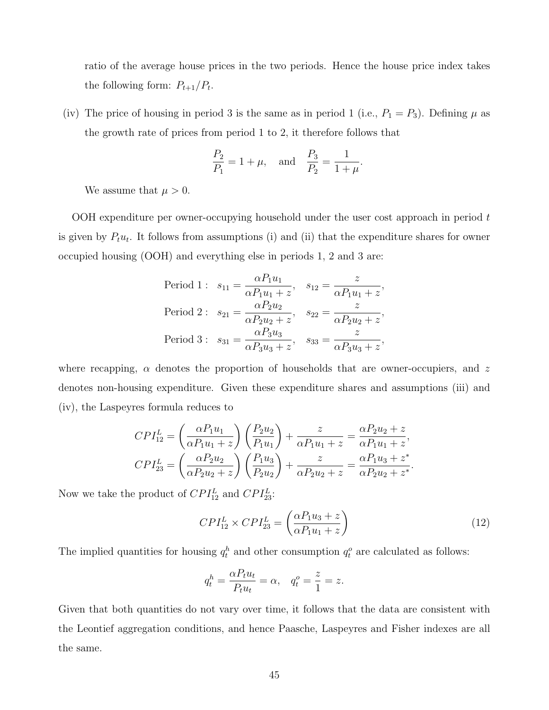ratio of the average house prices in the two periods. Hence the house price index takes the following form:  $P_{t+1}/P_t$ .

(iv) The price of housing in period 3 is the same as in period 1 (i.e.,  $P_1 = P_3$ ). Defining  $\mu$  as the growth rate of prices from period 1 to 2, it therefore follows that

$$
\frac{P_2}{P_1} = 1 + \mu
$$
, and  $\frac{P_3}{P_2} = \frac{1}{1 + \mu}$ .

We assume that  $\mu > 0$ .

OOH expenditure per owner-occupying household under the user cost approach in period *t* is given by  $P_t u_t$ . It follows from assumptions (i) and (ii) that the expenditure shares for owner occupied housing (OOH) and everything else in periods 1, 2 and 3 are:

$$
\begin{aligned}\n\text{Period 1:} \quad & s_{11} = \frac{\alpha P_1 u_1}{\alpha P_1 u_1 + z}, \quad s_{12} = \frac{z}{\alpha P_1 u_1 + z}, \\
\text{Period 2:} \quad & s_{21} = \frac{\alpha P_2 u_2}{\alpha P_2 u_2 + z}, \quad s_{22} = \frac{z}{\alpha P_2 u_2 + z}, \\
\text{Period 3:} \quad & s_{31} = \frac{\alpha P_3 u_3}{\alpha P_3 u_3 + z}, \quad s_{33} = \frac{z}{\alpha P_3 u_3 + z},\n\end{aligned}
$$

where recapping, *α* denotes the proportion of households that are owner-occupiers, and *z* denotes non-housing expenditure. Given these expenditure shares and assumptions (iii) and (iv), the Laspeyres formula reduces to

$$
CPI_{12}^{L} = \left(\frac{\alpha P_1 u_1}{\alpha P_1 u_1 + z}\right) \left(\frac{P_2 u_2}{P_1 u_1}\right) + \frac{z}{\alpha P_1 u_1 + z} = \frac{\alpha P_2 u_2 + z}{\alpha P_1 u_1 + z},
$$
  
\n
$$
CPI_{23}^{L} = \left(\frac{\alpha P_2 u_2}{\alpha P_2 u_2 + z}\right) \left(\frac{P_1 u_3}{P_2 u_2}\right) + \frac{z}{\alpha P_2 u_2 + z} = \frac{\alpha P_1 u_3 + z^*}{\alpha P_2 u_2 + z^*}.
$$

Now we take the product of  $CPI_{12}^L$  and  $CPI_{23}^L$ :

$$
CPI_{12}^L \times CPI_{23}^L = \left(\frac{\alpha P_1 u_3 + z}{\alpha P_1 u_1 + z}\right) \tag{12}
$$

The implied quantities for housing  $q_t^h$  and other consumption  $q_t^o$  are calculated as follows:

$$
q_t^h = \frac{\alpha P_t u_t}{P_t u_t} = \alpha, \quad q_t^o = \frac{z}{1} = z.
$$

Given that both quantities do not vary over time, it follows that the data are consistent with the Leontief aggregation conditions, and hence Paasche, Laspeyres and Fisher indexes are all the same.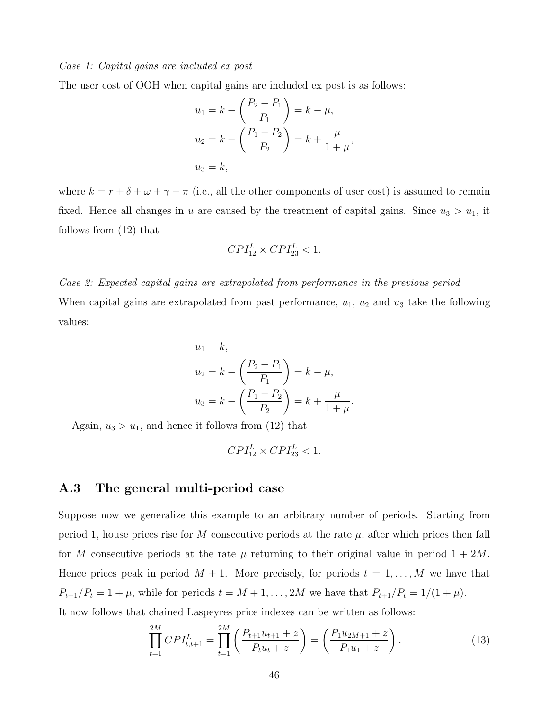#### *Case 1: Capital gains are included ex post*

The user cost of OOH when capital gains are included ex post is as follows:

$$
u_1 = k - \left(\frac{P_2 - P_1}{P_1}\right) = k - \mu,
$$
  
\n
$$
u_2 = k - \left(\frac{P_1 - P_2}{P_2}\right) = k + \frac{\mu}{1 + \mu},
$$
  
\n
$$
u_3 = k,
$$

where  $k = r + \delta + \omega + \gamma - \pi$  (i.e., all the other components of user cost) is assumed to remain fixed. Hence all changes in *u* are caused by the treatment of capital gains. Since  $u_3 > u_1$ , it follows from (12) that

$$
CPI_{12}^L \times CPI_{23}^L < 1.
$$

*Case 2: Expected capital gains are extrapolated from performance in the previous period* When capital gains are extrapolated from past performance,  $u_1$ ,  $u_2$  and  $u_3$  take the following values:

$$
u_1 = k,
$$
  
\n
$$
u_2 = k - \left(\frac{P_2 - P_1}{P_1}\right) = k - \mu,
$$
  
\n
$$
u_3 = k - \left(\frac{P_1 - P_2}{P_2}\right) = k + \frac{\mu}{1 + \mu}.
$$

Again,  $u_3 > u_1$ , and hence it follows from (12) that

$$
CPI_{12}^L \times CPI_{23}^L < 1.
$$

### **A.3 The general multi-period case**

Suppose now we generalize this example to an arbitrary number of periods. Starting from period 1, house prices rise for *M* consecutive periods at the rate  $\mu$ , after which prices then fall for *M* consecutive periods at the rate  $\mu$  returning to their original value in period  $1 + 2M$ . Hence prices peak in period  $M + 1$ . More precisely, for periods  $t = 1, ..., M$  we have that  $P_{t+1}/P_t = 1 + \mu$ , while for periods  $t = M + 1, ..., 2M$  we have that  $P_{t+1}/P_t = 1/(1 + \mu)$ . It now follows that chained Laspeyres price indexes can be written as follows:

$$
\prod_{t=1}^{2M} CPI_{t,t+1}^L = \prod_{t=1}^{2M} \left( \frac{P_{t+1}u_{t+1} + z}{P_t u_t + z} \right) = \left( \frac{P_1 u_{2M+1} + z}{P_1 u_1 + z} \right). \tag{13}
$$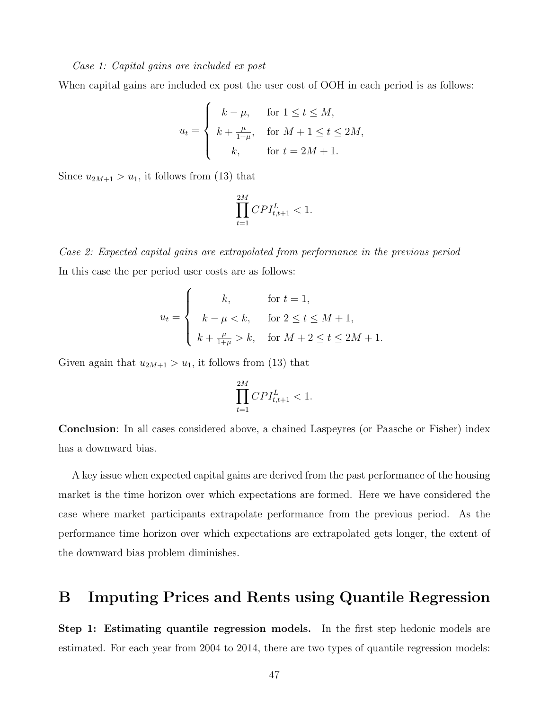#### *Case 1: Capital gains are included ex post*

When capital gains are included ex post the user cost of OOH in each period is as follows:

$$
u_t = \begin{cases} k - \mu, & \text{for } 1 \le t \le M, \\ k + \frac{\mu}{1 + \mu}, & \text{for } M + 1 \le t \le 2M, \\ k, & \text{for } t = 2M + 1. \end{cases}
$$

Since  $u_{2M+1} > u_1$ , it follows from (13) that

$$
\prod_{t=1}^{2M} CPI_{t,t+1}^{L} < 1.
$$

*Case 2: Expected capital gains are extrapolated from performance in the previous period* In this case the per period user costs are as follows:

$$
u_{t} = \begin{cases} k, & \text{for } t = 1, \\ k - \mu < k, & \text{for } 2 \le t \le M + 1, \\ k + \frac{\mu}{1 + \mu} > k, & \text{for } M + 2 \le t \le 2M + 1. \end{cases}
$$

Given again that  $u_{2M+1} > u_1$ , it follows from (13) that

$$
\prod_{t=1}^{2M} CPI_{t,t+1}^L < 1.
$$

**Conclusion**: In all cases considered above, a chained Laspeyres (or Paasche or Fisher) index has a downward bias.

A key issue when expected capital gains are derived from the past performance of the housing market is the time horizon over which expectations are formed. Here we have considered the case where market participants extrapolate performance from the previous period. As the performance time horizon over which expectations are extrapolated gets longer, the extent of the downward bias problem diminishes.

# **B Imputing Prices and Rents using Quantile Regression**

**Step 1: Estimating quantile regression models.** In the first step hedonic models are estimated. For each year from 2004 to 2014, there are two types of quantile regression models: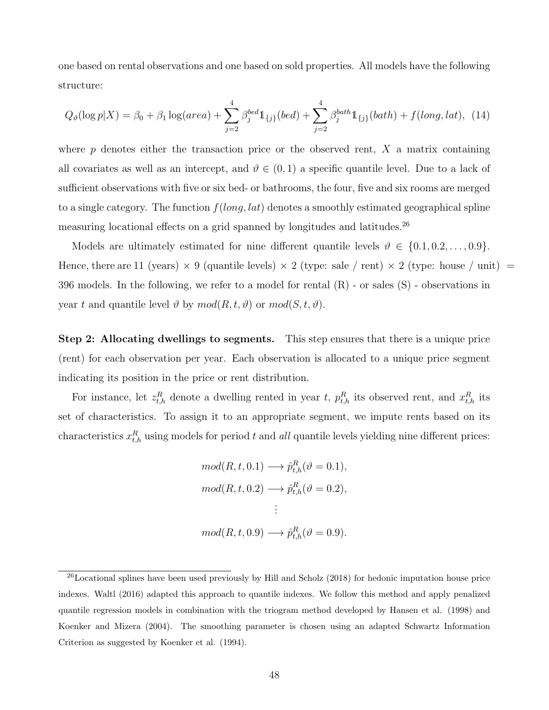one based on rental observations and one based on sold properties. All models have the following structure:

$$
Q_{\vartheta}(\log p|X) = \beta_0 + \beta_1 \log(\text{area}) + \sum_{j=2}^{4} \beta_j^{bed} 1_{\{j\}}(\text{bed}) + \sum_{j=2}^{4} \beta_j^{bath} 1_{\{j\}}(\text{bath}) + f(\text{long}, \text{lat}), \tag{14}
$$

where *p* denotes either the transaction price or the observed rent, *X* a matrix containing all covariates as well as an intercept, and  $\vartheta \in (0,1)$  a specific quantile level. Due to a lack of sufficient observations with five or six bed- or bathrooms, the four, five and six rooms are merged to a single category. The function *f*(*long, lat*) denotes a smoothly estimated geographical spline measuring locational effects on a grid spanned by longitudes and latitudes.<sup>26</sup>

Models are ultimately estimated for nine different quantile levels  $\vartheta \in \{0.1, 0.2, \ldots, 0.9\}$ . Hence, there are 11 (years)  $\times$  9 (quantile levels)  $\times$  2 (type: sale / rent)  $\times$  2 (type: house / unit) = 396 models. In the following, we refer to a model for rental (R) - or sales (S) - observations in year *t* and quantile level  $\vartheta$  by  $mod(R, t, \vartheta)$  or  $mod(S, t, \vartheta)$ .

**Step 2: Allocating dwellings to segments.** This step ensures that there is a unique price (rent) for each observation per year. Each observation is allocated to a unique price segment indicating its position in the price or rent distribution.

For instance, let  $z_{t,h}^R$  denote a dwelling rented in year *t*,  $p_{t,h}^R$  its observed rent, and  $x_{t,h}^R$  its set of characteristics. To assign it to an appropriate segment, we impute rents based on its characteristics  $x_{t,h}^R$  using models for period  $t$  and  $all$  quantile levels yielding nine different prices:

$$
mod(R, t, 0.1) \longrightarrow \hat{p}_{t,h}^R(\vartheta = 0.1),
$$
  

$$
mod(R, t, 0.2) \longrightarrow \hat{p}_{t,h}^R(\vartheta = 0.2),
$$
  

$$
\vdots
$$
  

$$
mod(R, t, 0.9) \longrightarrow \hat{p}_{t,h}^R(\vartheta = 0.9).
$$

 $^{26}$ Locational splines have been used previously by Hill and Scholz (2018) for hedonic imputation house price indexes. Waltl (2016) adapted this approach to quantile indexes. We follow this method and apply penalized quantile regression models in combination with the triogram method developed by Hansen et al. (1998) and Koenker and Mizera (2004). The smoothing parameter is chosen using an adapted Schwartz Information Criterion as suggested by Koenker et al. (1994).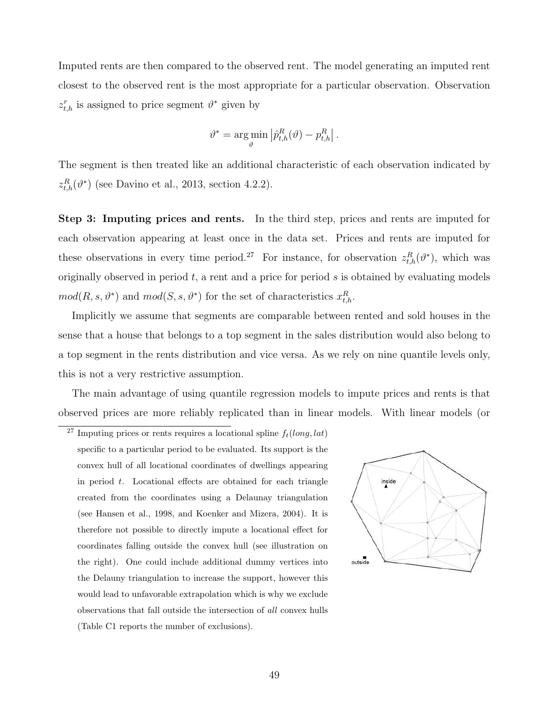Imputed rents are then compared to the observed rent. The model generating an imputed rent closest to the observed rent is the most appropriate for a particular observation. Observation  $z_{t,h}^r$  is assigned to price segment  $\vartheta^*$  given by

$$
\vartheta^* = \argmin_{\vartheta} \left| \hat{p}_{t,h}^R(\vartheta) - p_{t,h}^R \right|.
$$

The segment is then treated like an additional characteristic of each observation indicated by  $z_{t,h}^R(\vartheta^*)$  (see Davino et al., 2013, section 4.2.2).

**Step 3: Imputing prices and rents.** In the third step, prices and rents are imputed for each observation appearing at least once in the data set. Prices and rents are imputed for these observations in every time period.<sup>27</sup> For instance, for observation  $z_{t,h}^R(\vartheta^*)$ , which was originally observed in period *t*, a rent and a price for period *s* is obtained by evaluating models  $mod(R, s, \vartheta^*)$  and  $mod(S, s, \vartheta^*)$  for the set of characteristics  $x_{t,h}^R$ .

Implicitly we assume that segments are comparable between rented and sold houses in the sense that a house that belongs to a top segment in the sales distribution would also belong to a top segment in the rents distribution and vice versa. As we rely on nine quantile levels only, this is not a very restrictive assumption.

The main advantage of using quantile regression models to impute prices and rents is that observed prices are more reliably replicated than in linear models. With linear models (or

<sup>&</sup>lt;sup>27</sup> Imputing prices or rents requires a locational spline  $f_t(long, lat)$ specific to a particular period to be evaluated. Its support is the convex hull of all locational coordinates of dwellings appearing in period *t*. Locational effects are obtained for each triangle created from the coordinates using a Delaunay triangulation (see Hansen et al., 1998, and Koenker and Mizera, 2004). It is therefore not possible to directly impute a locational effect for coordinates falling outside the convex hull (see illustration on the right). One could include additional dummy vertices into the Delauny triangulation to increase the support, however this would lead to unfavorable extrapolation which is why we exclude observations that fall outside the intersection of *all* convex hulls (Table C1 reports the number of exclusions).

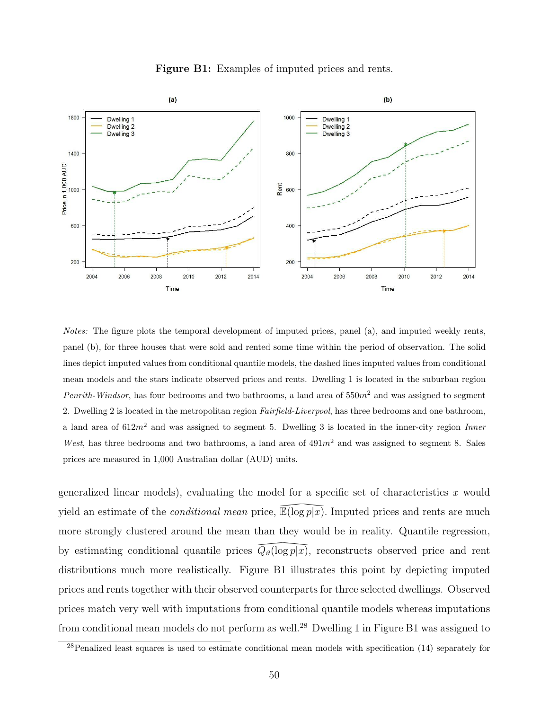

**Figure B1:** Examples of imputed prices and rents.

*Notes:* The figure plots the temporal development of imputed prices, panel (a), and imputed weekly rents, panel (b), for three houses that were sold and rented some time within the period of observation. The solid lines depict imputed values from conditional quantile models, the dashed lines imputed values from conditional mean models and the stars indicate observed prices and rents. Dwelling 1 is located in the suburban region *Penrith-Windsor*, has four bedrooms and two bathrooms, a land area of 550*m*<sup>2</sup> and was assigned to segment 2. Dwelling 2 is located in the metropolitan region *Fairfield-Liverpool*, has three bedrooms and one bathroom, a land area of 612*m*<sup>2</sup> and was assigned to segment 5. Dwelling 3 is located in the inner-city region *Inner West*, has three bedrooms and two bathrooms, a land area of 491*m*<sup>2</sup> and was assigned to segment 8. Sales prices are measured in 1,000 Australian dollar (AUD) units.

generalized linear models), evaluating the model for a specific set of characteristics *x* would yield an estimate of the *conditional mean* price, el for a spe<br>  $\overline{\mathbb{E}(\log p|x)}$ .<br>
they would  $\overline{\mathbb{E}}(\log p|x)$ . Imputed prices and rents are much more strongly clustered around the mean than they would be in reality. Quantile regression, by estimating conditional quantile prices than they we<br>  $\overline{Q_{\vartheta}(\log p|x)}$ ,<br>
ure B1 illust *Qϑ*(log *p|x*)*,* reconstructs observed price and rent distributions much more realistically. Figure B1 illustrates this point by depicting imputed prices and rents together with their observed counterparts for three selected dwellings. Observed prices match very well with imputations from conditional quantile models whereas imputations from conditional mean models do not perform as well.28 Dwelling 1 in Figure B1 was assigned to

<sup>&</sup>lt;sup>28</sup>Penalized least squares is used to estimate conditional mean models with specification (14) separately for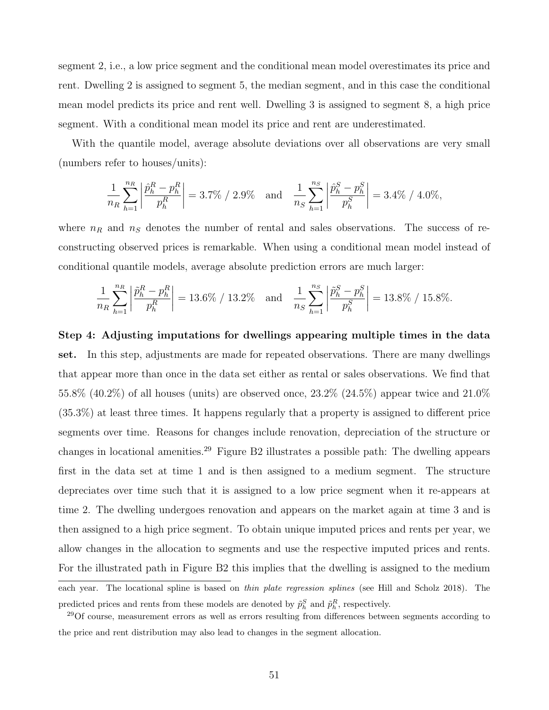segment 2, i.e., a low price segment and the conditional mean model overestimates its price and rent. Dwelling 2 is assigned to segment 5, the median segment, and in this case the conditional mean model predicts its price and rent well. Dwelling 3 is assigned to segment 8, a high price segment. With a conditional mean model its price and rent are underestimated.

With the quantile model, average absolute deviations over all observations are very small (numbers refer to houses/units):

$$
\frac{1}{n_R} \sum_{h=1}^{n_R} \left| \frac{\hat{p}_h^R - p_h^R}{p_h^R} \right| = 3.7\% / 2.9\% \quad \text{and} \quad \frac{1}{n_S} \sum_{h=1}^{n_S} \left| \frac{\hat{p}_h^S - p_h^S}{p_h^S} \right| = 3.4\% / 4.0\%,
$$

where  $n_R$  and  $n_S$  denotes the number of rental and sales observations. The success of reconstructing observed prices is remarkable. When using a conditional mean model instead of conditional quantile models, average absolute prediction errors are much larger:

$$
\frac{1}{n_R} \sum_{h=1}^{n_R} \left| \frac{\tilde{p}_h^R - p_h^R}{p_h^R} \right| = 13.6\% / 13.2\% \quad \text{and} \quad \frac{1}{n_S} \sum_{h=1}^{n_S} \left| \frac{\tilde{p}_h^S - p_h^S}{p_h^S} \right| = 13.8\% / 15.8\%.
$$

**Step 4: Adjusting imputations for dwellings appearing multiple times in the data set.** In this step, adjustments are made for repeated observations. There are many dwellings that appear more than once in the data set either as rental or sales observations. We find that 55.8% (40.2%) of all houses (units) are observed once,  $23.2\%$  (24.5%) appear twice and  $21.0\%$ (35.3%) at least three times. It happens regularly that a property is assigned to different price segments over time. Reasons for changes include renovation, depreciation of the structure or changes in locational amenities.<sup>29</sup> Figure B2 illustrates a possible path: The dwelling appears first in the data set at time 1 and is then assigned to a medium segment. The structure depreciates over time such that it is assigned to a low price segment when it re-appears at time 2. The dwelling undergoes renovation and appears on the market again at time 3 and is then assigned to a high price segment. To obtain unique imputed prices and rents per year, we allow changes in the allocation to segments and use the respective imputed prices and rents. For the illustrated path in Figure B2 this implies that the dwelling is assigned to the medium

each year. The locational spline is based on *thin plate regression splines* (see Hill and Scholz 2018). The predicted prices and rents from these models are denoted by  $\tilde{p}_h^S$  and  $\tilde{p}_h^R$ , respectively.

<sup>29</sup>Of course, measurement errors as well as errors resulting from differences between segments according to the price and rent distribution may also lead to changes in the segment allocation.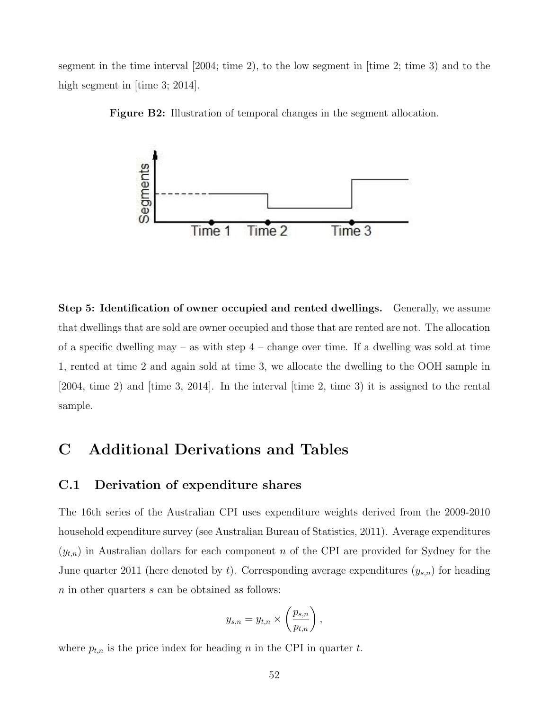segment in the time interval [2004; time 2), to the low segment in [time 2; time 3) and to the high segment in [time 3; 2014].



**Figure B2:** Illustration of temporal changes in the segment allocation.

**Step 5: Identification of owner occupied and rented dwellings.** Generally, we assume that dwellings that are sold are owner occupied and those that are rented are not. The allocation of a specific dwelling may – as with step  $4$  – change over time. If a dwelling was sold at time 1, rented at time 2 and again sold at time 3, we allocate the dwelling to the OOH sample in [2004, time 2) and [time 3, 2014]. In the interval [time 2, time 3) it is assigned to the rental sample.

# **C Additional Derivations and Tables**

### **C.1 Derivation of expenditure shares**

The 16th series of the Australian CPI uses expenditure weights derived from the 2009-2010 household expenditure survey (see Australian Bureau of Statistics, 2011). Average expenditures  $(y_{t,n})$  in Australian dollars for each component *n* of the CPI are provided for Sydney for the June quarter 2011 (here denoted by *t*). Corresponding average expenditures (*ys,n*) for heading *n* in other quarters *s* can be obtained as follows:

$$
y_{s,n} = y_{t,n} \times \left(\frac{p_{s,n}}{p_{t,n}}\right),\,
$$

where  $p_{t,n}$  is the price index for heading  $n$  in the CPI in quarter  $t$ .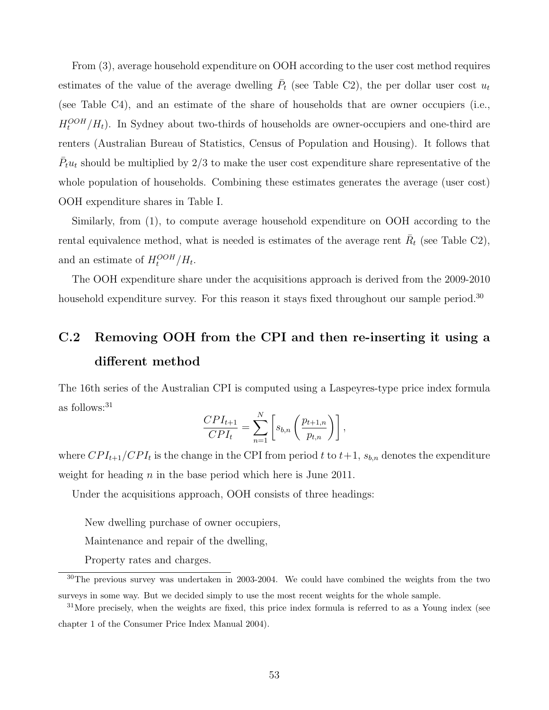From (3), average household expenditure on OOH according to the user cost method requires estimates of the value of the average dwelling  $\overline{P}_t$  (see Table C2), the per dollar user cost  $u_t$ (see Table C4), and an estimate of the share of households that are owner occupiers (i.e.,  $H_t^{OOH}/H_t$ ). In Sydney about two-thirds of households are owner-occupiers and one-third are renters (Australian Bureau of Statistics, Census of Population and Housing). It follows that  $\bar{P}_t u_t$  should be multiplied by 2/3 to make the user cost expenditure share representative of the whole population of households. Combining these estimates generates the average (user cost) OOH expenditure shares in Table I.

Similarly, from (1), to compute average household expenditure on OOH according to the rental equivalence method, what is needed is estimates of the average rent  $\bar{R}_t$  (see Table C2), and an estimate of  $H_t^{OOH}/H_t$ .

The OOH expenditure share under the acquisitions approach is derived from the 2009-2010 household expenditure survey. For this reason it stays fixed throughout our sample period.<sup>30</sup>

# **C.2 Removing OOH from the CPI and then re-inserting it using a different method**

The 16th series of the Australian CPI is computed using a Laspeyres-type price index formula as follows:31

$$
\frac{CPI_{t+1}}{CPI_{t}} = \sum_{n=1}^{N} \left[ s_{b,n} \left( \frac{p_{t+1,n}}{p_{t,n}} \right) \right],
$$

where  $CPI_{t+1}/CPI_t$  is the change in the CPI from period t to  $t+1$ ,  $s_{b,n}$  denotes the expenditure weight for heading *n* in the base period which here is June 2011.

Under the acquisitions approach, OOH consists of three headings:

New dwelling purchase of owner occupiers,

Maintenance and repair of the dwelling,

Property rates and charges.

<sup>&</sup>lt;sup>30</sup>The previous survey was undertaken in 2003-2004. We could have combined the weights from the two surveys in some way. But we decided simply to use the most recent weights for the whole sample.

<sup>&</sup>lt;sup>31</sup>More precisely, when the weights are fixed, this price index formula is referred to as a Young index (see chapter 1 of the Consumer Price Index Manual 2004).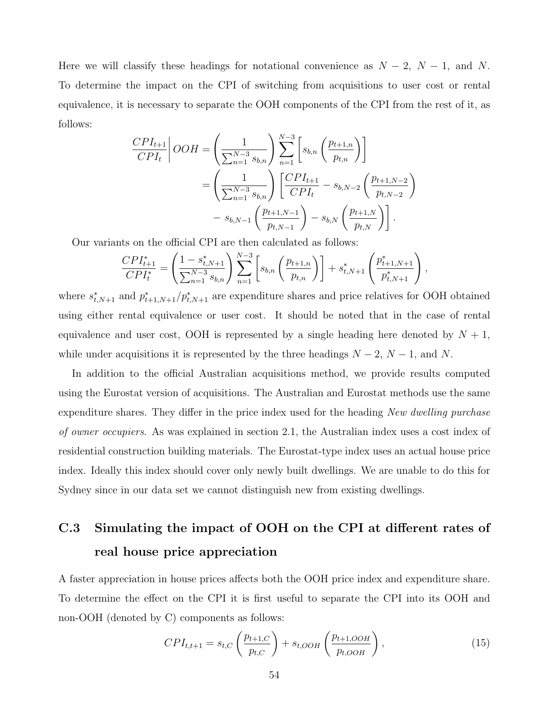Here we will classify these headings for notational convenience as  $N-2$ ,  $N-1$ , and  $N$ . To determine the impact on the CPI of switching from acquisitions to user cost or rental equivalence, it is necessary to separate the OOH components of the CPI from the rest of it, as follows:

$$
\frac{CPI_{t+1}}{CPI_t} \Big| OOH = \left(\frac{1}{\sum_{n=1}^{N-3} s_{b,n}}\right) \sum_{n=1}^{N-3} \left[ s_{b,n} \left(\frac{p_{t+1,n}}{p_{t,n}}\right) \right]
$$
  
= 
$$
\left(\frac{1}{\sum_{n=1}^{N-3} s_{b,n}}\right) \left[ \frac{CPI_{t+1}}{CPI_t} - s_{b,N-2} \left(\frac{p_{t+1,N-2}}{p_{t,N-2}}\right) - s_{b,N-1} \left(\frac{p_{t+1,N-1}}{p_{t,N-1}}\right) - s_{b,N} \left(\frac{p_{t+1,N}}{p_{t,N}}\right) \right].
$$

Our variants on the official CPI are then calculated as follows:

$$
\frac{CPI_{t+1}^*}{CPI_t^*} = \left(\frac{1 - s_{t,N+1}^*}{\sum_{n=1}^{N-3} s_{b,n}}\right) \sum_{n=1}^{N-3} \left[ s_{b,n} \left( \frac{p_{t+1,n}}{p_{t,n}} \right) \right] + s_{t,N+1}^* \left( \frac{p_{t+1,N+1}^*}{p_{t,N+1}^*} \right),
$$

where  $s_{t,N+1}^*$  and  $p_{t+1,N+1}^*/p_{t,N+1}^*$  are expenditure shares and price relatives for OOH obtained using either rental equivalence or user cost. It should be noted that in the case of rental equivalence and user cost, OOH is represented by a single heading here denoted by  $N+1$ , while under acquisitions it is represented by the three headings  $N-2$ ,  $N-1$ , and  $N$ .

In addition to the official Australian acquisitions method, we provide results computed using the Eurostat version of acquisitions. The Australian and Eurostat methods use the same expenditure shares. They differ in the price index used for the heading *New dwelling purchase of owner occupiers*. As was explained in section 2.1, the Australian index uses a cost index of residential construction building materials. The Eurostat-type index uses an actual house price index. Ideally this index should cover only newly built dwellings. We are unable to do this for Sydney since in our data set we cannot distinguish new from existing dwellings.

# **C.3 Simulating the impact of OOH on the CPI at different rates of real house price appreciation**

A faster appreciation in house prices affects both the OOH price index and expenditure share. To determine the effect on the CPI it is first useful to separate the CPI into its OOH and non-OOH (denoted by C) components as follows:

$$
CPI_{t,t+1} = s_{t,C} \left( \frac{p_{t+1,C}}{p_{t,C}} \right) + s_{t,OOH} \left( \frac{p_{t+1,OOH}}{p_{t,OOH}} \right), \tag{15}
$$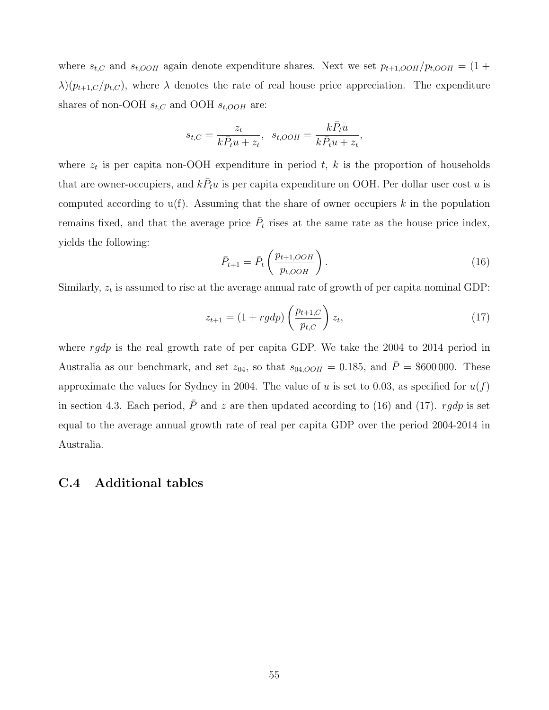where  $s_{t,C}$  and  $s_{t,OOH}$  again denote expenditure shares. Next we set  $p_{t+1,OOH}/p_{t,OOH} = (1 +$  $\lambda$ )( $p_{t+1,C}/p_{t,C}$ ), where  $\lambda$  denotes the rate of real house price appreciation. The expenditure shares of non-OOH  $s_{t,C}$  and OOH  $s_{t,OOH}$  are:

$$
s_{t,C} = \frac{z_t}{k\bar{P}_t u + z_t}, \quad s_{t,OOH} = \frac{k\bar{P}_t u}{k\bar{P}_t u + z_t},
$$

where  $z_t$  is per capita non-OOH expenditure in period  $t$ ,  $k$  is the proportion of households that are owner-occupiers, and  $k\bar{P}_t u$  is per capita expenditure on OOH. Per dollar user cost *u* is computed according to u(f). Assuming that the share of owner occupiers *k* in the population remains fixed, and that the average price  $\overline{P}_t$  rises at the same rate as the house price index, yields the following:

$$
\bar{P}_{t+1} = \bar{P}_t \left( \frac{p_{t+1,OOH}}{p_{t,OOH}} \right). \tag{16}
$$

Similarly,  $z_t$  is assumed to rise at the average annual rate of growth of per capita nominal GDP:

$$
z_{t+1} = (1 + r g dp) \left(\frac{p_{t+1,C}}{p_{t,C}}\right) z_t,
$$
\n(17)

where *rgdp* is the real growth rate of per capita GDP. We take the 2004 to 2014 period in Australia as our benchmark, and set  $z_{04}$ , so that  $s_{04,OOH} = 0.185$ , and  $\overline{P} = $600,000$ . These approximate the values for Sydney in 2004. The value of *u* is set to 0.03, as specified for  $u(f)$ in section 4.3. Each period,  $\bar{P}$  and  $z$  are then updated according to (16) and (17). *rgdp* is set equal to the average annual growth rate of real per capita GDP over the period 2004-2014 in Australia.

### **C.4 Additional tables**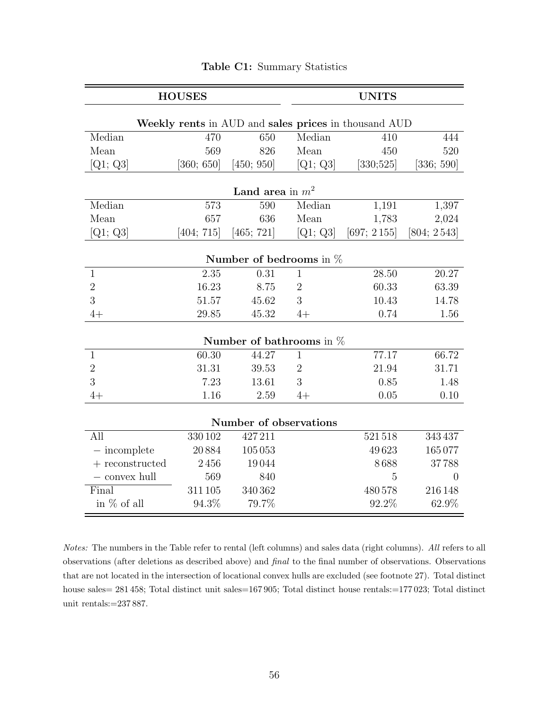|                                     | <b>HOUSES</b> |                                  |                            |                                                      | <b>UNITS</b>    |  |  |  |
|-------------------------------------|---------------|----------------------------------|----------------------------|------------------------------------------------------|-----------------|--|--|--|
|                                     |               |                                  |                            | Weekly rents in AUD and sales prices in thousand AUD |                 |  |  |  |
| Median                              | 470           | 650                              | Median                     | 410                                                  | 444             |  |  |  |
| Mean                                | 569           | 826                              | Mean                       | 450                                                  | 520             |  |  |  |
| $[{\rm Q1;\ Q3}]$                   | [360; 650]    | [450; 950]                       | [Q1; Q3]                   | [330;525]                                            | [336; 590]      |  |  |  |
|                                     |               | Land area in $m^2$               |                            |                                                      |                 |  |  |  |
| Median                              | 573           | 590                              | Median                     | 1,191                                                | 1,397           |  |  |  |
| Mean                                | 657           | 636                              | Mean                       | 1,783                                                | 2,024           |  |  |  |
| $[{\rm Q1;\ Q3}]$                   | [404; 715]    | [465; 721]                       | [Q1; Q3]                   | [697; 2155]                                          | [804; 2543]     |  |  |  |
| Number of bedrooms in $%$           |               |                                  |                            |                                                      |                 |  |  |  |
| $\mathbf{1}$                        | 2.35          | 0.31                             | $\mathbf{1}$               | 28.50                                                | 20.27           |  |  |  |
| $\overline{2}$                      | 16.23         | 8.75                             | $\overline{2}$             | 60.33                                                | 63.39           |  |  |  |
| 3                                   | 51.57         | 45.62                            | 3                          | 10.43                                                | 14.78           |  |  |  |
| $4+$                                | 29.85         | 45.32                            | $4+$                       | 0.74                                                 | 1.56            |  |  |  |
|                                     |               |                                  | Number of bathrooms in $%$ |                                                      |                 |  |  |  |
| $\mathbf{1}$                        | 60.30         | 44.27                            | $\mathbf{1}$               | 77.17                                                | 66.72           |  |  |  |
| $\overline{2}$                      | 31.31         | 39.53                            | $\overline{2}$             | 21.94                                                | 31.71           |  |  |  |
| 3                                   | 7.23          | 13.61                            | 3                          | 0.85                                                 | 1.48            |  |  |  |
| $4+$                                | 1.16          | 2.59                             | $4+$                       | 0.05                                                 | 0.10            |  |  |  |
|                                     |               |                                  |                            |                                                      |                 |  |  |  |
| All                                 | 330102        | Number of observations<br>427211 |                            | 521518                                               | 343437          |  |  |  |
|                                     |               |                                  |                            |                                                      |                 |  |  |  |
| $-$ incomplete<br>$+$ reconstructed | 20884<br>2456 | 105053<br>19044                  |                            | 49623<br>8688                                        | 165077<br>37788 |  |  |  |
| $-$ convex hull                     | 569           | 840                              |                            | $\overline{5}$                                       | $\overline{0}$  |  |  |  |
| Final                               | 311105        | 340 362                          |                            | 480578                                               | 216148          |  |  |  |
| in % of all                         | 94.3%         | 79.7%                            |                            | 92.2%                                                | 62.9%           |  |  |  |

#### **Table C1:** Summary Statistics

*Notes:* The numbers in the Table refer to rental (left columns) and sales data (right columns). *All* refers to all observations (after deletions as described above) and *final* to the final number of observations. Observations that are not located in the intersection of locational convex hulls are excluded (see footnote 27). Total distinct house sales= 281 458; Total distinct unit sales=167 905; Total distinct house rentals:=177 023; Total distinct unit rentals:=237 887.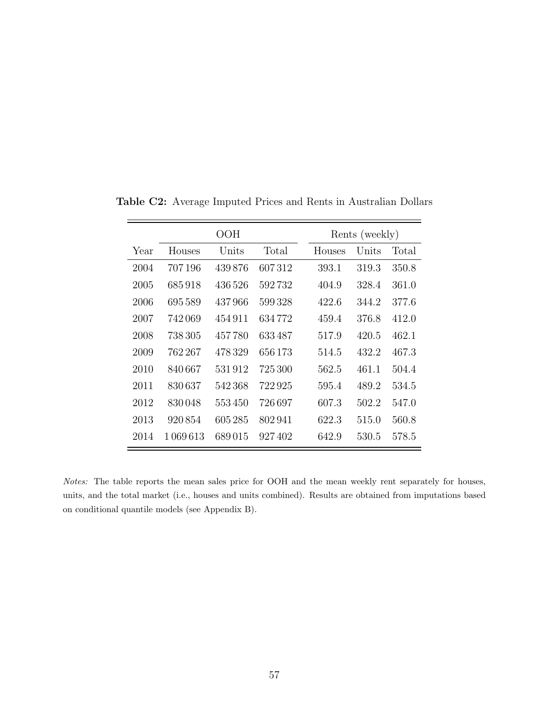|      |         | OOH     |         | Rents (weekly) |       |       |
|------|---------|---------|---------|----------------|-------|-------|
| Year | Houses  | Units   | Total   | Houses         | Units | Total |
| 2004 | 707196  | 439876  | 607312  | 393.1          | 319.3 | 350.8 |
| 2005 | 685918  | 436 526 | 592732  | 404.9          | 328.4 | 361.0 |
| 2006 | 695589  | 437966  | 599328  | 422.6          | 344.2 | 377.6 |
| 2007 | 742069  | 454911  | 634 772 | 459.4          | 376.8 | 412.0 |
| 2008 | 738 305 | 457780  | 633487  | 517.9          | 420.5 | 462.1 |
| 2009 | 762 267 | 478329  | 656 173 | 514.5          | 432.2 | 467.3 |
| 2010 | 840667  | 531912  | 725 300 | 562.5          | 461.1 | 504.4 |
| 2011 | 830637  | 542368  | 722925  | 595.4          | 489.2 | 534.5 |
| 2012 | 830048  | 553450  | 726 697 | 607.3          | 502.2 | 547.0 |
| 2013 | 920854  | 605285  | 802941  | 622.3          | 515.0 | 560.8 |
| 2014 | 1069613 | 689015  | 927402  | 642.9          | 530.5 | 578.5 |

**Table C2:** Average Imputed Prices and Rents in Australian Dollars

 $\overline{\phantom{0}}$ 

*Notes:* The table reports the mean sales price for OOH and the mean weekly rent separately for houses, units, and the total market (i.e., houses and units combined). Results are obtained from imputations based on conditional quantile models (see Appendix B).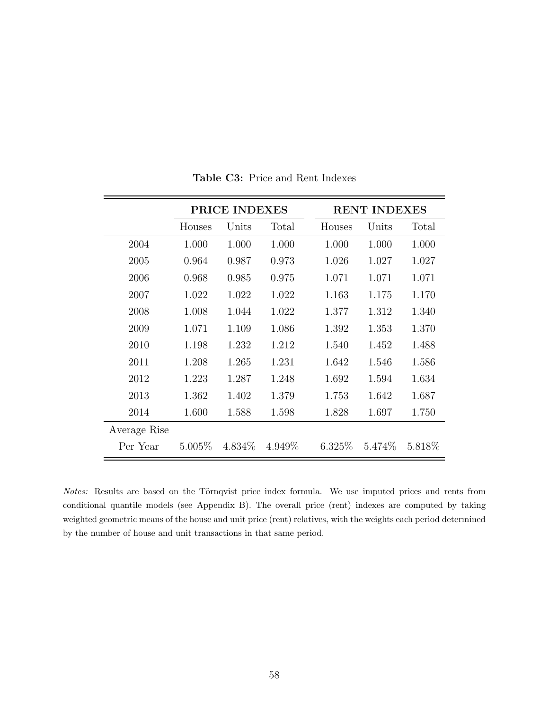|              | <b>PRICE INDEXES</b> |           |         |  | <b>RENT INDEXES</b> |         |         |  |
|--------------|----------------------|-----------|---------|--|---------------------|---------|---------|--|
|              | Houses               | Units     | Total   |  | Houses              | Units   | Total   |  |
| 2004         | 1.000                | 1.000     | 1.000   |  | 1.000               | 1.000   | 1.000   |  |
| 2005         | 0.964                | 0.987     | 0.973   |  | 1.026               | 1.027   | 1.027   |  |
| 2006         | 0.968                | 0.985     | 0.975   |  | 1.071               | 1.071   | 1.071   |  |
| 2007         | 1.022                | 1.022     | 1.022   |  | 1.163               | 1.175   | 1.170   |  |
| 2008         | 1.008                | 1.044     | 1.022   |  | 1.377               | 1.312   | 1.340   |  |
| 2009         | 1.071                | 1.109     | 1.086   |  | 1.392               | 1.353   | 1.370   |  |
| 2010         | 1.198                | 1.232     | 1.212   |  | 1.540               | 1.452   | 1.488   |  |
| 2011         | 1.208                | 1.265     | 1.231   |  | 1.642               | 1.546   | 1.586   |  |
| 2012         | 1.223                | 1.287     | 1.248   |  | 1.692               | 1.594   | 1.634   |  |
| 2013         | 1.362                | 1.402     | 1.379   |  | 1.753               | 1.642   | 1.687   |  |
| 2014         | 1.600                | 1.588     | 1.598   |  | 1.828               | 1.697   | 1.750   |  |
| Average Rise |                      |           |         |  |                     |         |         |  |
| Per Year     | $5.005\%$            | $4.834\%$ | 4.949\% |  | $6.325\%$           | 5.474\% | 5.818\% |  |

**Table C3:** Price and Rent Indexes

*Notes:* Results are based on the Törnqvist price index formula. We use imputed prices and rents from conditional quantile models (see Appendix B). The overall price (rent) indexes are computed by taking weighted geometric means of the house and unit price (rent) relatives, with the weights each period determined by the number of house and unit transactions in that same period.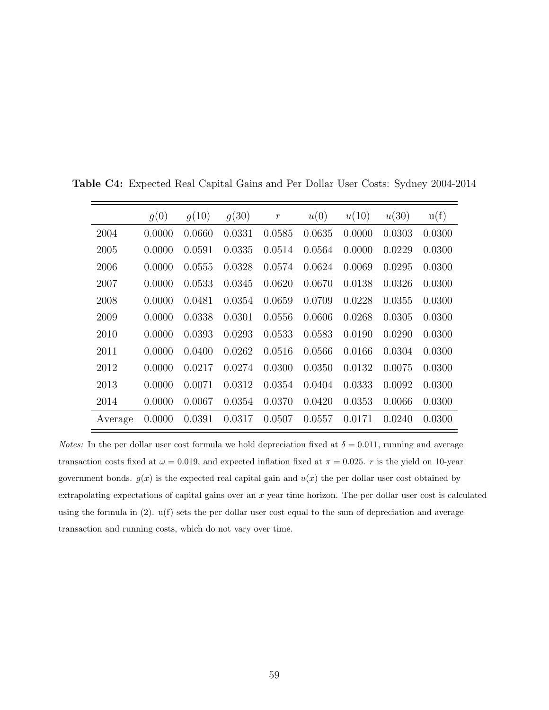|         | g(0)   | g(10)  | g(30)  | $\boldsymbol{r}$ | u(0)   | u(10)  | u(30)  | u(f)   |
|---------|--------|--------|--------|------------------|--------|--------|--------|--------|
| 2004    | 0.0000 | 0.0660 | 0.0331 | 0.0585           | 0.0635 | 0.0000 | 0.0303 | 0.0300 |
| 2005    | 0.0000 | 0.0591 | 0.0335 | 0.0514           | 0.0564 | 0.0000 | 0.0229 | 0.0300 |
| 2006    | 0.0000 | 0.0555 | 0.0328 | 0.0574           | 0.0624 | 0.0069 | 0.0295 | 0.0300 |
| 2007    | 0.0000 | 0.0533 | 0.0345 | 0.0620           | 0.0670 | 0.0138 | 0.0326 | 0.0300 |
| 2008    | 0.0000 | 0.0481 | 0.0354 | 0.0659           | 0.0709 | 0.0228 | 0.0355 | 0.0300 |
| 2009    | 0.0000 | 0.0338 | 0.0301 | 0.0556           | 0.0606 | 0.0268 | 0.0305 | 0.0300 |
| 2010    | 0.0000 | 0.0393 | 0.0293 | 0.0533           | 0.0583 | 0.0190 | 0.0290 | 0.0300 |
| 2011    | 0.0000 | 0.0400 | 0.0262 | 0.0516           | 0.0566 | 0.0166 | 0.0304 | 0.0300 |
| 2012    | 0.0000 | 0.0217 | 0.0274 | 0.0300           | 0.0350 | 0.0132 | 0.0075 | 0.0300 |
| 2013    | 0.0000 | 0.0071 | 0.0312 | 0.0354           | 0.0404 | 0.0333 | 0.0092 | 0.0300 |
| 2014    | 0.0000 | 0.0067 | 0.0354 | 0.0370           | 0.0420 | 0.0353 | 0.0066 | 0.0300 |
| Average | 0.0000 | 0.0391 | 0.0317 | 0.0507           | 0.0557 | 0.0171 | 0.0240 | 0.0300 |

**Table C4:** Expected Real Capital Gains and Per Dollar User Costs: Sydney 2004-2014

*Notes:* In the per dollar user cost formula we hold depreciation fixed at  $\delta = 0.011$ , running and average transaction costs fixed at  $\omega = 0.019$ , and expected inflation fixed at  $\pi = 0.025$ . *r* is the yield on 10-year government bonds.  $g(x)$  is the expected real capital gain and  $u(x)$  the per dollar user cost obtained by extrapolating expectations of capital gains over an *x* year time horizon. The per dollar user cost is calculated using the formula in (2). u(f) sets the per dollar user cost equal to the sum of depreciation and average transaction and running costs, which do not vary over time.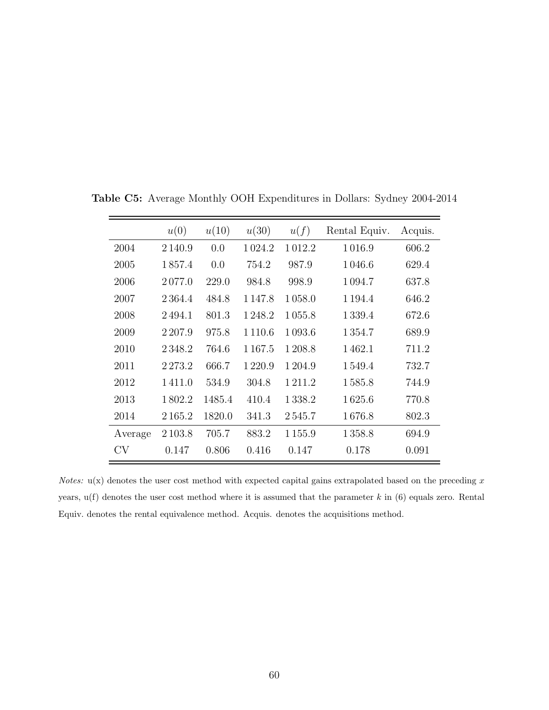|           | u(0)        | u(10)  | u(30)       | u(f)    | Rental Equiv. | Acquis. |
|-----------|-------------|--------|-------------|---------|---------------|---------|
| 2004      | 2 1 4 0 . 9 | 0.0    | 1024.2      | 1012.2  | 1016.9        | 606.2   |
| 2005      | 1857.4      | 0.0    | 754.2       | 987.9   | 1046.6        | 629.4   |
| 2006      | 2077.0      | 229.0  | 984.8       | 998.9   | 1094.7        | 637.8   |
| 2007      | 2 3 6 4 . 4 | 484.8  | 1 1 4 7 .8  | 1058.0  | 1 1 9 4 . 4   | 646.2   |
| 2008      | 2494.1      | 801.3  | 1 2 4 8 .2  | 1055.8  | 1339.4        | 672.6   |
| 2009      | 2 2 0 7 .9  | 975.8  | 1 1 1 0 .6  | 1093.6  | 1354.7        | 689.9   |
| 2010      | 2348.2      | 764.6  | 1 1 6 7 . 5 | 1 208.8 | 1462.1        | 711.2   |
| 2011      | 2273.2      | 666.7  | 1220.9      | 1 204.9 | 1549.4        | 732.7   |
| 2012      | 1411.0      | 534.9  | 304.8       | 1211.2  | 1585.8        | 744.9   |
| 2013      | 1802.2      | 1485.4 | 410.4       | 1338.2  | 1625.6        | 770.8   |
| 2014      | 2165.2      | 1820.0 | 341.3       | 2545.7  | 1676.8        | 802.3   |
| Average   | 2 1 0 3 .8  | 705.7  | 883.2       | 1155.9  | 1358.8        | 694.9   |
| <b>CV</b> | 0.147       | 0.806  | 0.416       | 0.147   | 0.178         | 0.091   |

**Table C5:** Average Monthly OOH Expenditures in Dollars: Sydney 2004-2014

*Notes:* u(x) denotes the user cost method with expected capital gains extrapolated based on the preceding x years, u(f) denotes the user cost method where it is assumed that the parameter *k* in (6) equals zero. Rental Equiv. denotes the rental equivalence method. Acquis. denotes the acquisitions method.